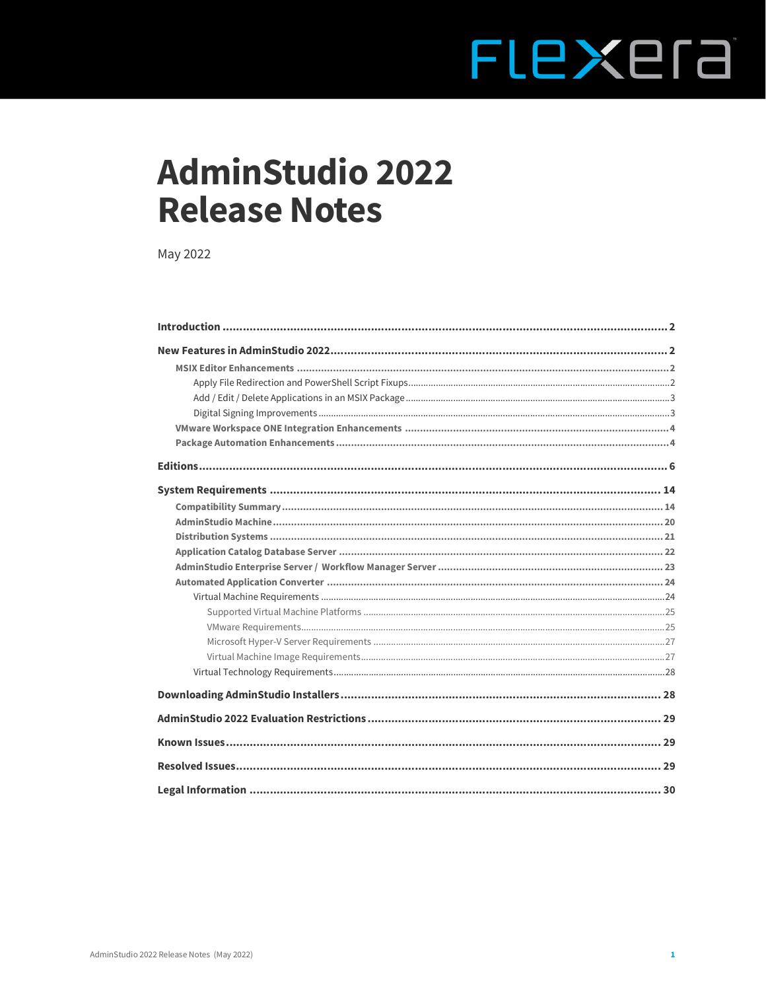# FLEXEra

# **AdminStudio 2022 Release Notes**

May 2022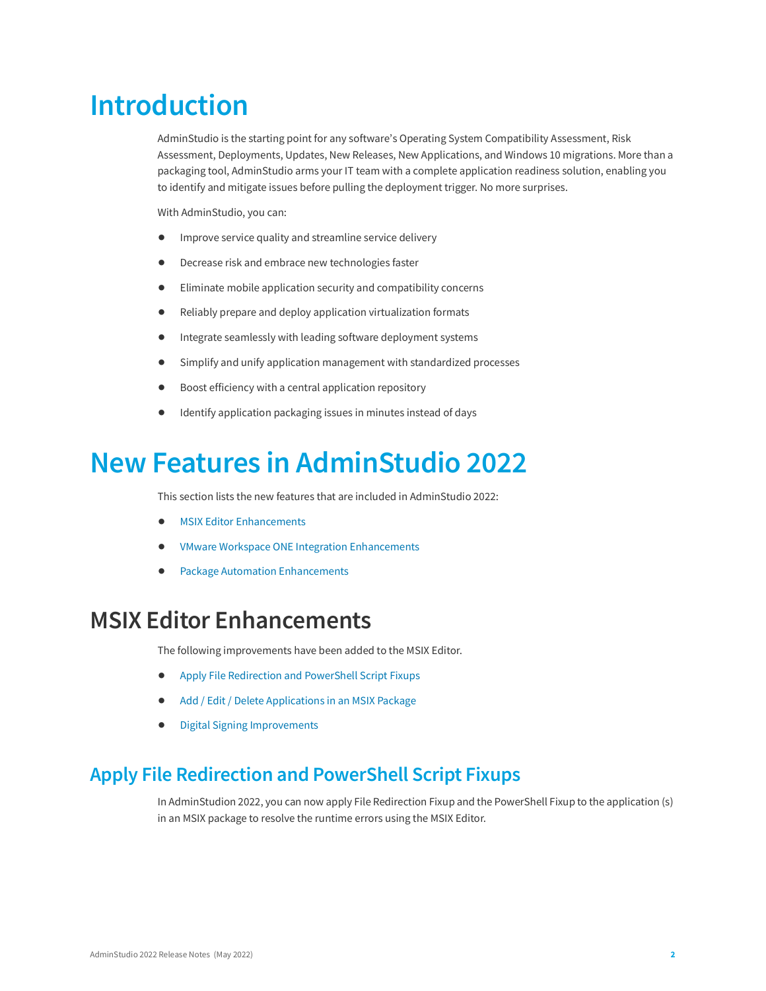# <span id="page-1-0"></span>**Introduction**

AdminStudio is the starting point for any software's Operating System Compatibility Assessment, Risk Assessment, Deployments, Updates, New Releases, New Applications, and Windows 10 migrations. More than a packaging tool, AdminStudio arms your IT team with a complete application readiness solution, enabling you to identify and mitigate issues before pulling the deployment trigger. No more surprises.

With AdminStudio, you can:

- **•** Improve service quality and streamline service delivery
- **•** Decrease risk and embrace new technologies faster
- **•** Eliminate mobile application security and compatibility concerns
- **•** Reliably prepare and deploy application virtualization formats
- **•** Integrate seamlessly with leading software deployment systems
- **•** Simplify and unify application management with standardized processes
- **•** Boost efficiency with a central application repository
- **•** Identify application packaging issues in minutes instead of days

# <span id="page-1-1"></span>**New Features in AdminStudio 2022**

This section lists the new features that are included in AdminStudio 2022:

- **•** [MSIX Editor Enhancements](#page-1-2)
- **•** [VMware Workspace ONE Integration Enhancements](#page-3-0)
- **•** [Package Automation Enhancements](#page-3-1)

# <span id="page-1-2"></span>**MSIX Editor Enhancements**

The following improvements have been added to the MSIX Editor.

- **•** [Apply File Redirection and PowerShell Script Fixups](#page-1-3)
- **•** [Add / Edit / Delete Applications in an MSIX Package](#page-2-0)
- **•** [Digital Signing Improvements](#page-2-1)

### <span id="page-1-3"></span>**Apply File Redirection and PowerShell Script Fixups**

In AdminStudion 2022, you can now apply File Redirection Fixup and the PowerShell Fixup to the application (s) in an MSIX package to resolve the runtime errors using the MSIX Editor.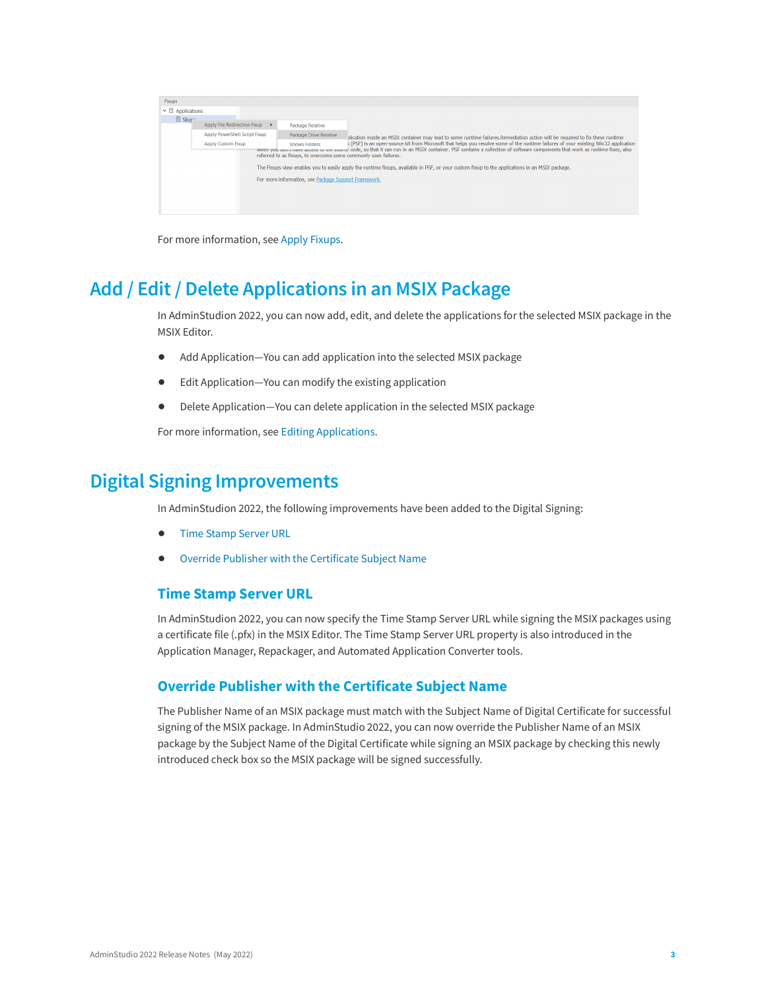| <b>Fixups</b>                                                                                                                                                                                                                                |                                            |                                                      |                                                                                                                                                |  |
|----------------------------------------------------------------------------------------------------------------------------------------------------------------------------------------------------------------------------------------------|--------------------------------------------|------------------------------------------------------|------------------------------------------------------------------------------------------------------------------------------------------------|--|
| $\triangleright \square$ Applications                                                                                                                                                                                                        |                                            |                                                      |                                                                                                                                                |  |
| <b>El Skyr</b> <sup>~</sup>                                                                                                                                                                                                                  | Apply File Redirection Fixup               | <b>Package Relative</b>                              |                                                                                                                                                |  |
|                                                                                                                                                                                                                                              |                                            |                                                      |                                                                                                                                                |  |
|                                                                                                                                                                                                                                              | Apply PowerShell Script Fixup              | <b>Package Drive Relative</b>                        | blication inside an MSIX container may lead to some runtime failures.Remediation action will be required to fix these runtime                  |  |
|                                                                                                                                                                                                                                              | <b>Apply Custom Fixup</b><br>Known Folders |                                                      | (PSF) is an open-source kit from Microsoft that helps you resolve some of the runtime failures of your existing Win32 application              |  |
| when you upon thave access to the source code, so that it can run in an MSIX container. PSF contains a collection of software components that work as runtime fixes, also<br>referred to as fixups, to overcome some commonly seen failures. |                                            |                                                      |                                                                                                                                                |  |
|                                                                                                                                                                                                                                              |                                            |                                                      |                                                                                                                                                |  |
|                                                                                                                                                                                                                                              |                                            |                                                      | The Fixups view enables you to easily apply the runtime fixups, available in PSF, or your custom fixup to the applications in an MSIX package. |  |
|                                                                                                                                                                                                                                              |                                            | For more information, see Package Support Framework. |                                                                                                                                                |  |
|                                                                                                                                                                                                                                              |                                            |                                                      |                                                                                                                                                |  |
|                                                                                                                                                                                                                                              |                                            |                                                      |                                                                                                                                                |  |
|                                                                                                                                                                                                                                              |                                            |                                                      |                                                                                                                                                |  |
|                                                                                                                                                                                                                                              |                                            |                                                      |                                                                                                                                                |  |
|                                                                                                                                                                                                                                              |                                            |                                                      |                                                                                                                                                |  |

For more information, see [Apply Fixups](https://docs.flexera.com/adminstudio2022/Content/helplibrary/MSIXApplyingFixups.htm).

### <span id="page-2-0"></span>**Add / Edit / Delete Applications in an MSIX Package**

In AdminStudion 2022, you can now add, edit, and delete the applications for the selected MSIX package in the MSIX Editor.

- **•** Add Application—You can add application into the selected MSIX package
- **•** Edit Application—You can modify the existing application
- **•** Delete Application—You can delete application in the selected MSIX package

For more information, see [Editing Applications.](https://docs.flexera.com/adminstudio2022/Content/helplibrary/Editing_Applications.htm)

### <span id="page-2-1"></span>**Digital Signing Improvements**

In AdminStudion 2022, the following improvements have been added to the Digital Signing:

- **•** [Time Stamp Server URL](#page-2-2)
- **•** [Override Publisher with the Certificate Subject Name](#page-2-3)

#### <span id="page-2-2"></span>**Time Stamp Server URL**

In AdminStudion 2022, you can now specify the Time Stamp Server URL while signing the MSIX packages using a certificate file (.pfx) in the MSIX Editor. The Time Stamp Server URL property is also introduced in the Application Manager, Repackager, and Automated Application Converter tools.

#### <span id="page-2-3"></span>**Override Publisher with the Certificate Subject Name**

The Publisher Name of an MSIX package must match with the Subject Name of Digital Certificate for successful signing of the MSIX package. In AdminStudio 2022, you can now override the Publisher Name of an MSIX package by the Subject Name of the Digital Certificate while signing an MSIX package by checking this newly introduced check box so the MSIX package will be signed successfully.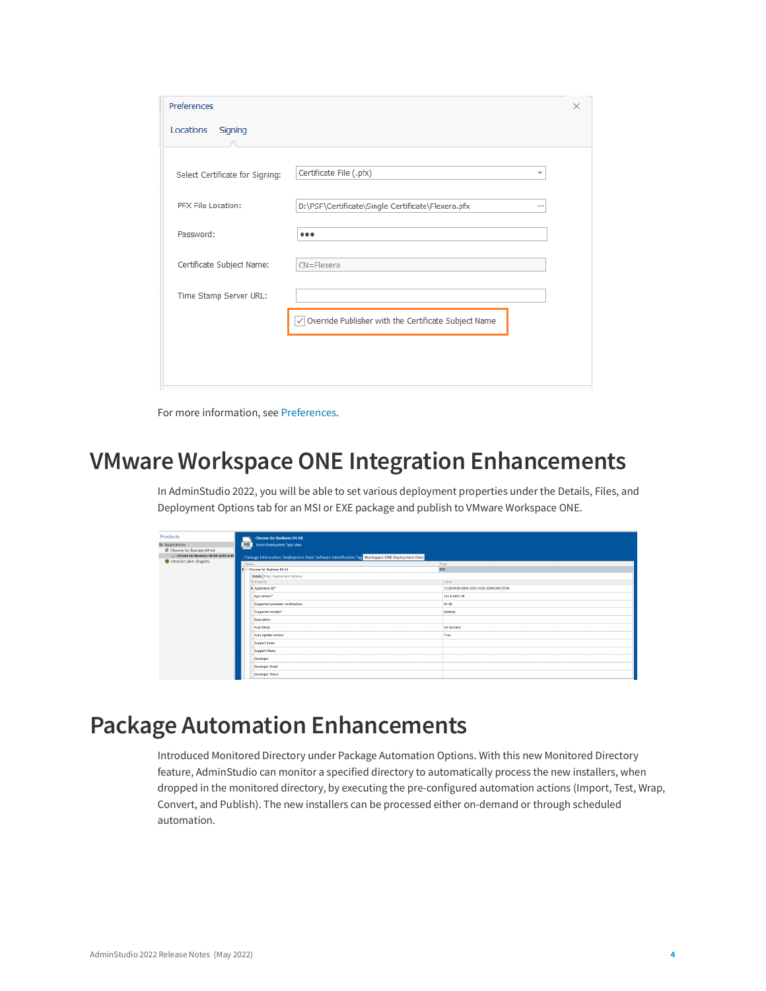| Preferences                     |                                                                | × |
|---------------------------------|----------------------------------------------------------------|---|
| Locations<br>Signing            |                                                                |   |
| Select Certificate for Signing: | Certificate File (.pfx)                                        |   |
| PFX File Location:              | D:\PSF\Certificate\Single Certificate\Flexera.pfx<br>          |   |
| Password:                       | $\bullet\bullet\bullet$                                        |   |
| Certificate Subject Name:       | $CN =$ Flexera                                                 |   |
| Time Stamp Server URL:          |                                                                |   |
|                                 | $\sqrt{}$ Override Publisher with the Certificate Subject Name |   |
|                                 |                                                                |   |
|                                 |                                                                |   |

For more information, see [Preferences.](https://docs.flexera.com/adminstudio2022/Content/helplibrary/MSIXPreferences.htm)

### <span id="page-3-0"></span>**VMware Workspace ONE Integration Enhancements**

In AdminStudio 2022, you will be able to set various deployment properties under the Details, Files, and Deployment Options tab for an MSI or EXE package and publish to VMware Workspace ONE.

| Products                              |                                                                                               | <b>Chrome for Business 64-bit</b> |  |                                        |  |  |
|---------------------------------------|-----------------------------------------------------------------------------------------------|-----------------------------------|--|----------------------------------------|--|--|
| <b>E</b> Applications                 |                                                                                               | MSI Home Deployment Type View     |  |                                        |  |  |
| Chrome for Business 64-bit            |                                                                                               |                                   |  |                                        |  |  |
| Chrone for Business 64-bit (v101.0.49 | Package Information Deployment Data Software Identification Tag Workspace ONE Deployment Data |                                   |  |                                        |  |  |
| UltraEdit (x64) (English)             |                                                                                               |                                   |  |                                        |  |  |
|                                       | Name<br>Chrome for Business 64-bit                                                            |                                   |  | Type<br><b>MSI</b>                     |  |  |
|                                       |                                                                                               |                                   |  |                                        |  |  |
|                                       |                                                                                               | Details Files Deployment Options  |  |                                        |  |  |
|                                       |                                                                                               | a Property                        |  | Value                                  |  |  |
|                                       |                                                                                               | Application ID*                   |  | (C1DFDF69-5945-32F2-A35E-EE94C99C7CF4) |  |  |
|                                       |                                                                                               | App version*                      |  | 101.0.4951.54                          |  |  |
|                                       |                                                                                               | Supported processor architecture  |  | 64-bit                                 |  |  |
|                                       |                                                                                               | Supported models*                 |  | Desktop                                |  |  |
|                                       |                                                                                               | Description                       |  |                                        |  |  |
|                                       |                                                                                               | <b>Push Mode</b>                  |  | On Demand                              |  |  |
|                                       |                                                                                               | Auto Update Version               |  | True                                   |  |  |
|                                       |                                                                                               | <b>Support Email</b>              |  |                                        |  |  |
|                                       |                                                                                               | Support Phone                     |  |                                        |  |  |
|                                       |                                                                                               | Developer                         |  |                                        |  |  |
|                                       |                                                                                               | Developer Email                   |  |                                        |  |  |
|                                       |                                                                                               | Developer Phone                   |  |                                        |  |  |
|                                       |                                                                                               |                                   |  |                                        |  |  |

# <span id="page-3-1"></span>**Package Automation Enhancements**

Introduced Monitored Directory under Package Automation Options. With this new Monitored Directory feature, AdminStudio can monitor a specified directory to automatically process the new installers, when dropped in the monitored directory, by executing the pre-configured automation actions (Import, Test, Wrap, Convert, and Publish). The new installers can be processed either on-demand or through scheduled automation.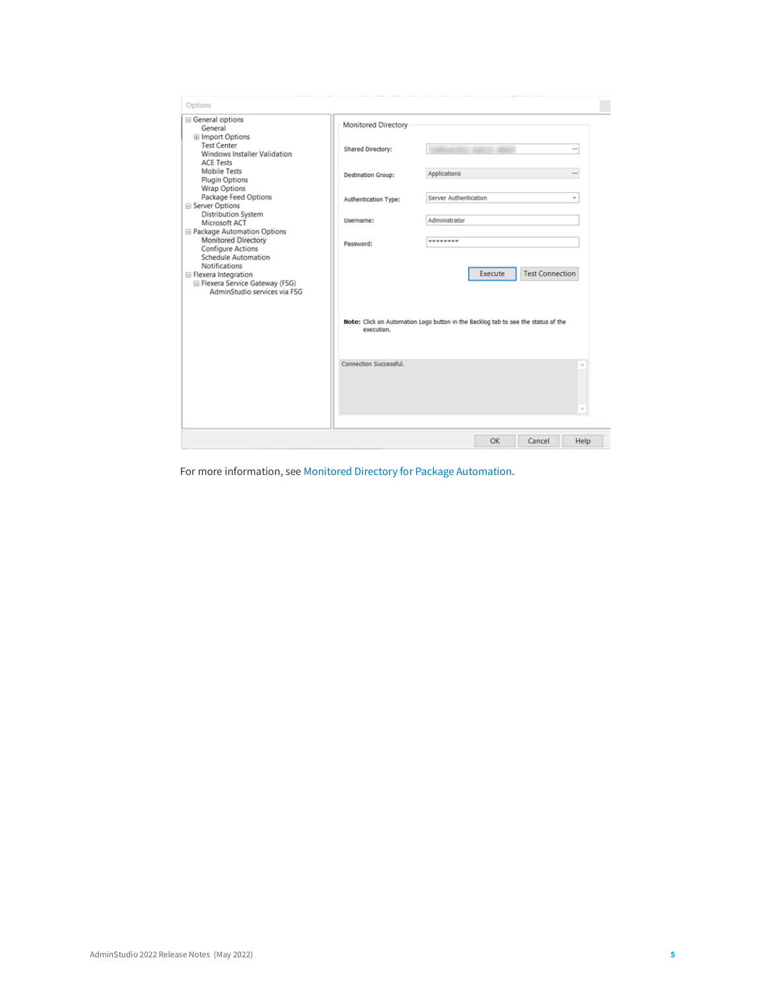| <b>□ General options</b><br>General                                                                                                                                                                             | <b>Monitored Directory</b> |                                                                                                                                    |          |
|-----------------------------------------------------------------------------------------------------------------------------------------------------------------------------------------------------------------|----------------------------|------------------------------------------------------------------------------------------------------------------------------------|----------|
| <b>E</b> Import Options<br><b>Test Center</b><br><b>Windows Installer Validation</b><br><b>ACE Tests</b>                                                                                                        | <b>Shared Directory:</b>   |                                                                                                                                    |          |
| <b>Mobile Tests</b><br><b>Plugin Options</b><br><b>Wrap Options</b>                                                                                                                                             | <b>Destination Group:</b>  | Applications                                                                                                                       | $\cdots$ |
| <b>Package Feed Options</b><br><b>■ Server Options</b>                                                                                                                                                          | Authentication Type:       | Server Authentication                                                                                                              | ٠        |
| <b>Distribution System</b><br>Microsoft ACT<br>□ Package Automation Options                                                                                                                                     | Username:                  | Administrator                                                                                                                      |          |
| <b>Monitored Directory</b><br><b>Configure Actions</b><br><b>Schedule Automation</b><br><b>Notifications</b><br><b>□ Flexera Integration</b><br>□ Flexera Service Gateway (FSG)<br>AdminStudio services via FSG | Password:                  | ********<br><b>Test Connection</b><br>Execute<br>Note: Click on Automation Logs button in the Backlog tab to see the status of the |          |
|                                                                                                                                                                                                                 | execution.                 |                                                                                                                                    |          |
|                                                                                                                                                                                                                 | Connection Successful.     |                                                                                                                                    |          |
|                                                                                                                                                                                                                 |                            |                                                                                                                                    |          |

For more information, see [Monitored Directory for Package Automation](https://docs.flexera.com/adminstudio2022/Content/helplibrary/Monitored_Directory_for_Package_Automation.htm).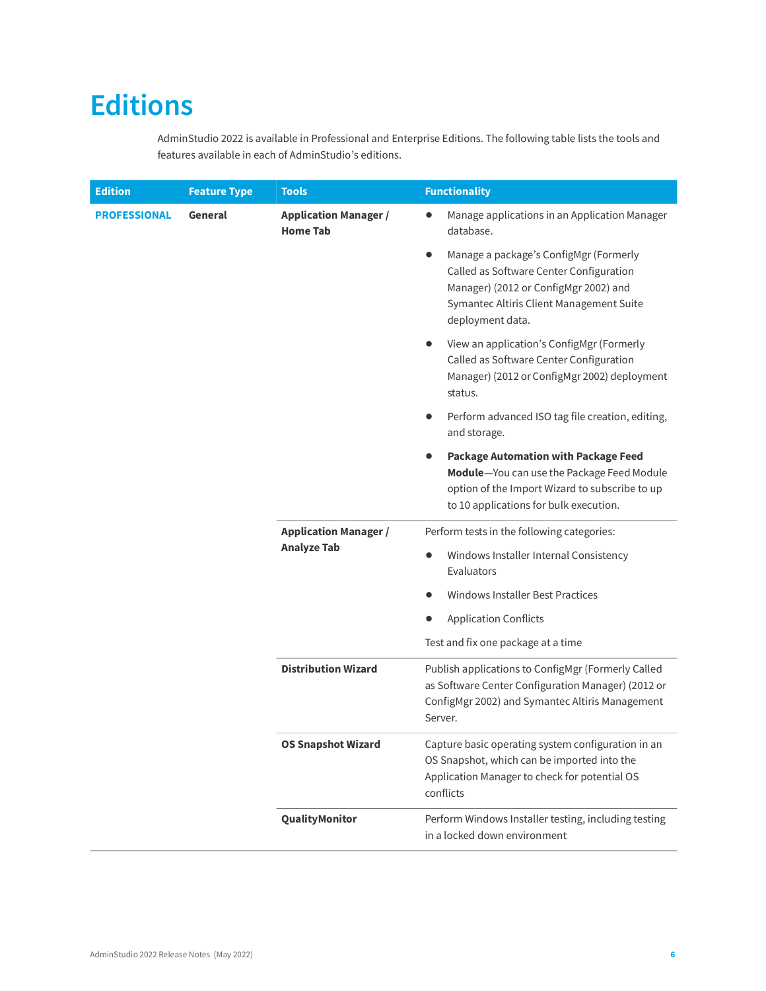# <span id="page-5-0"></span>**Editions**

AdminStudio 2022 is available in Professional and Enterprise Editions. The following table lists the tools and features available in each of AdminStudio's editions.

| <b>Edition</b>                 | <b>Feature Type</b> | <b>Tools</b>                                       | <b>Functionality</b>                                                                                                                                                                       |
|--------------------------------|---------------------|----------------------------------------------------|--------------------------------------------------------------------------------------------------------------------------------------------------------------------------------------------|
| General<br><b>PROFESSIONAL</b> |                     | <b>Application Manager /</b><br><b>Home Tab</b>    | Manage applications in an Application Manager<br>$\bullet$<br>database.                                                                                                                    |
|                                |                     |                                                    | Manage a package's ConfigMgr (Formerly<br>Called as Software Center Configuration<br>Manager) (2012 or ConfigMgr 2002) and<br>Symantec Altiris Client Management Suite<br>deployment data. |
|                                |                     |                                                    | View an application's ConfigMgr (Formerly<br>Called as Software Center Configuration<br>Manager) (2012 or ConfigMgr 2002) deployment<br>status.                                            |
|                                |                     |                                                    | Perform advanced ISO tag file creation, editing,<br>and storage.                                                                                                                           |
|                                |                     |                                                    | <b>Package Automation with Package Feed</b><br>Module-You can use the Package Feed Module<br>option of the Import Wizard to subscribe to up<br>to 10 applications for bulk execution.      |
|                                |                     | <b>Application Manager /</b><br><b>Analyze Tab</b> | Perform tests in the following categories:                                                                                                                                                 |
|                                |                     |                                                    | Windows Installer Internal Consistency<br>Evaluators                                                                                                                                       |
|                                |                     |                                                    | <b>Windows Installer Best Practices</b>                                                                                                                                                    |
|                                |                     |                                                    | <b>Application Conflicts</b>                                                                                                                                                               |
|                                |                     |                                                    | Test and fix one package at a time                                                                                                                                                         |
|                                |                     | <b>Distribution Wizard</b>                         | Publish applications to ConfigMgr (Formerly Called<br>as Software Center Configuration Manager) (2012 or<br>ConfigMgr 2002) and Symantec Altiris Management<br>Server.                     |
|                                |                     | <b>OS Snapshot Wizard</b><br>QualityMonitor        | Capture basic operating system configuration in an<br>OS Snapshot, which can be imported into the<br>Application Manager to check for potential OS<br>conflicts                            |
|                                |                     |                                                    | Perform Windows Installer testing, including testing<br>in a locked down environment                                                                                                       |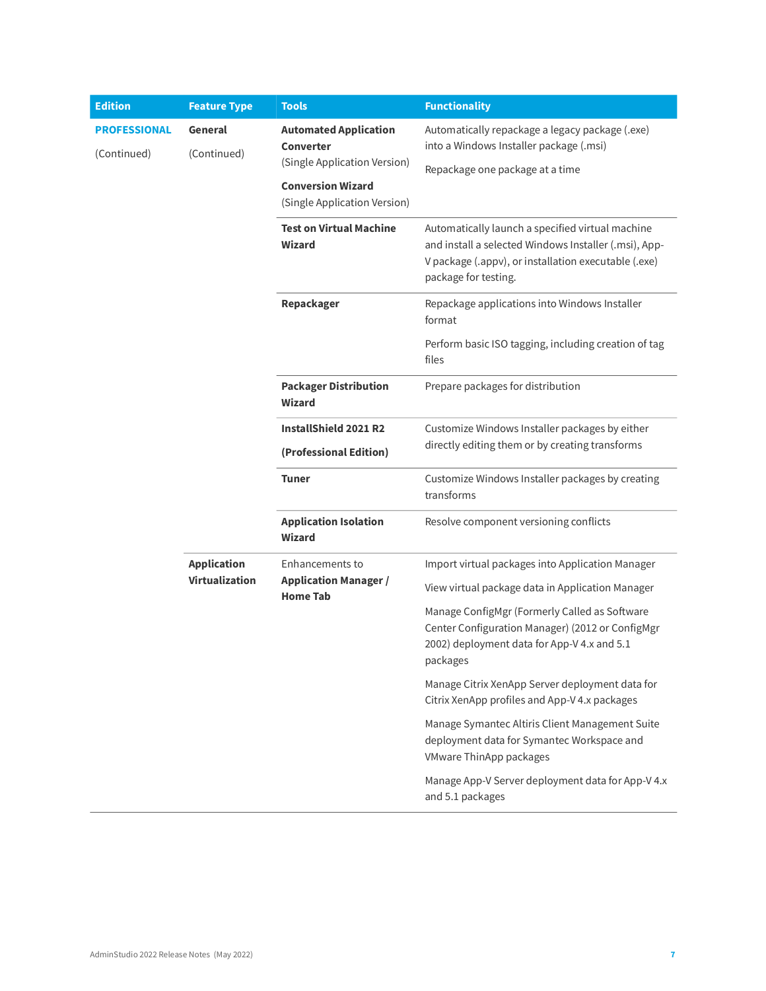| <b>Edition</b>                     | <b>Feature Type</b>    | <b>Tools</b>                                                                                                 | <b>Functionality</b>                                                                                                                                                                      |
|------------------------------------|------------------------|--------------------------------------------------------------------------------------------------------------|-------------------------------------------------------------------------------------------------------------------------------------------------------------------------------------------|
| <b>PROFESSIONAL</b><br>(Continued) | General<br>(Continued) | <b>Automated Application</b><br><b>Converter</b><br>(Single Application Version)<br><b>Conversion Wizard</b> | Automatically repackage a legacy package (.exe)<br>into a Windows Installer package (.msi)<br>Repackage one package at a time                                                             |
|                                    |                        | (Single Application Version)                                                                                 |                                                                                                                                                                                           |
|                                    |                        | <b>Test on Virtual Machine</b><br>Wizard                                                                     | Automatically launch a specified virtual machine<br>and install a selected Windows Installer (.msi), App-<br>V package (.appv), or installation executable (.exe)<br>package for testing. |
|                                    |                        | Repackager                                                                                                   | Repackage applications into Windows Installer<br>format                                                                                                                                   |
|                                    |                        |                                                                                                              | Perform basic ISO tagging, including creation of tag<br>files                                                                                                                             |
|                                    |                        | <b>Packager Distribution</b><br><b>Wizard</b>                                                                | Prepare packages for distribution                                                                                                                                                         |
|                                    |                        | <b>InstallShield 2021 R2</b><br>(Professional Edition)                                                       | Customize Windows Installer packages by either<br>directly editing them or by creating transforms                                                                                         |
|                                    |                        | <b>Tuner</b>                                                                                                 | Customize Windows Installer packages by creating<br>transforms                                                                                                                            |
|                                    |                        | <b>Application Isolation</b><br><b>Wizard</b>                                                                | Resolve component versioning conflicts                                                                                                                                                    |
|                                    | <b>Application</b>     | Enhancements to<br><b>Application Manager /</b><br><b>Home Tab</b>                                           | Import virtual packages into Application Manager                                                                                                                                          |
|                                    | Virtualization         |                                                                                                              | View virtual package data in Application Manager                                                                                                                                          |
|                                    |                        |                                                                                                              | Manage ConfigMgr (Formerly Called as Software<br>Center Configuration Manager) (2012 or ConfigMgr<br>2002) deployment data for App-V 4.x and 5.1<br>packages                              |
|                                    |                        |                                                                                                              | Manage Citrix XenApp Server deployment data for<br>Citrix XenApp profiles and App-V 4.x packages                                                                                          |
|                                    |                        |                                                                                                              | Manage Symantec Altiris Client Management Suite<br>deployment data for Symantec Workspace and<br>VMware ThinApp packages                                                                  |
|                                    |                        |                                                                                                              | Manage App-V Server deployment data for App-V 4.x<br>and 5.1 packages                                                                                                                     |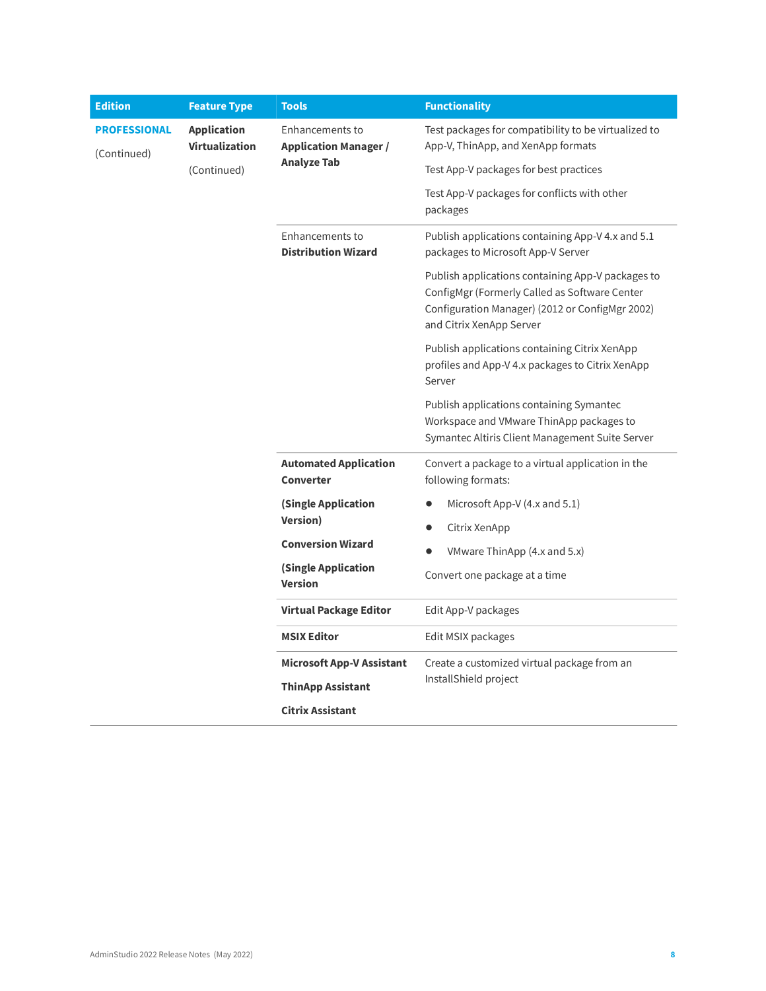| <b>Edition</b>                     | <b>Feature Type</b>                                        | <b>Tools</b>                                           | <b>Functionality</b>                                                                                                                                                              |                                                                         |
|------------------------------------|------------------------------------------------------------|--------------------------------------------------------|-----------------------------------------------------------------------------------------------------------------------------------------------------------------------------------|-------------------------------------------------------------------------|
| <b>PROFESSIONAL</b><br>(Continued) | <b>Application</b><br><b>Virtualization</b><br>(Continued) | <b>Enhancements to</b><br><b>Application Manager /</b> | Test packages for compatibility to be virtualized to<br>App-V, ThinApp, and XenApp formats                                                                                        |                                                                         |
|                                    |                                                            | <b>Analyze Tab</b>                                     | Test App-V packages for best practices                                                                                                                                            |                                                                         |
|                                    |                                                            |                                                        | Test App-V packages for conflicts with other<br>packages                                                                                                                          |                                                                         |
|                                    |                                                            | Enhancements to<br><b>Distribution Wizard</b>          | Publish applications containing App-V 4.x and 5.1<br>packages to Microsoft App-V Server                                                                                           |                                                                         |
|                                    |                                                            |                                                        | Publish applications containing App-V packages to<br>ConfigMgr (Formerly Called as Software Center<br>Configuration Manager) (2012 or ConfigMgr 2002)<br>and Citrix XenApp Server |                                                                         |
|                                    |                                                            |                                                        | Publish applications containing Citrix XenApp<br>profiles and App-V 4.x packages to Citrix XenApp<br>Server                                                                       |                                                                         |
|                                    |                                                            |                                                        | Publish applications containing Symantec<br>Workspace and VMware ThinApp packages to<br>Symantec Altiris Client Management Suite Server                                           |                                                                         |
|                                    |                                                            |                                                        | <b>Automated Application</b><br>Converter                                                                                                                                         | Convert a package to a virtual application in the<br>following formats: |
|                                    |                                                            | (Single Application<br><b>Version</b> )                | Microsoft App-V $(4.x$ and 5.1)                                                                                                                                                   |                                                                         |
|                                    |                                                            |                                                        | Citrix XenApp                                                                                                                                                                     |                                                                         |
|                                    |                                                            | <b>Conversion Wizard</b>                               | VMware ThinApp (4.x and 5.x)                                                                                                                                                      |                                                                         |
|                                    |                                                            | (Single Application<br><b>Version</b>                  | Convert one package at a time                                                                                                                                                     |                                                                         |
|                                    |                                                            | <b>Virtual Package Editor</b>                          | Edit App-V packages                                                                                                                                                               |                                                                         |
|                                    |                                                            | <b>MSIX Editor</b>                                     | Edit MSIX packages                                                                                                                                                                |                                                                         |
|                                    |                                                            | <b>Microsoft App-V Assistant</b>                       | Create a customized virtual package from an                                                                                                                                       |                                                                         |
|                                    |                                                            | <b>ThinApp Assistant</b>                               | InstallShield project                                                                                                                                                             |                                                                         |
|                                    |                                                            |                                                        | <b>Citrix Assistant</b>                                                                                                                                                           |                                                                         |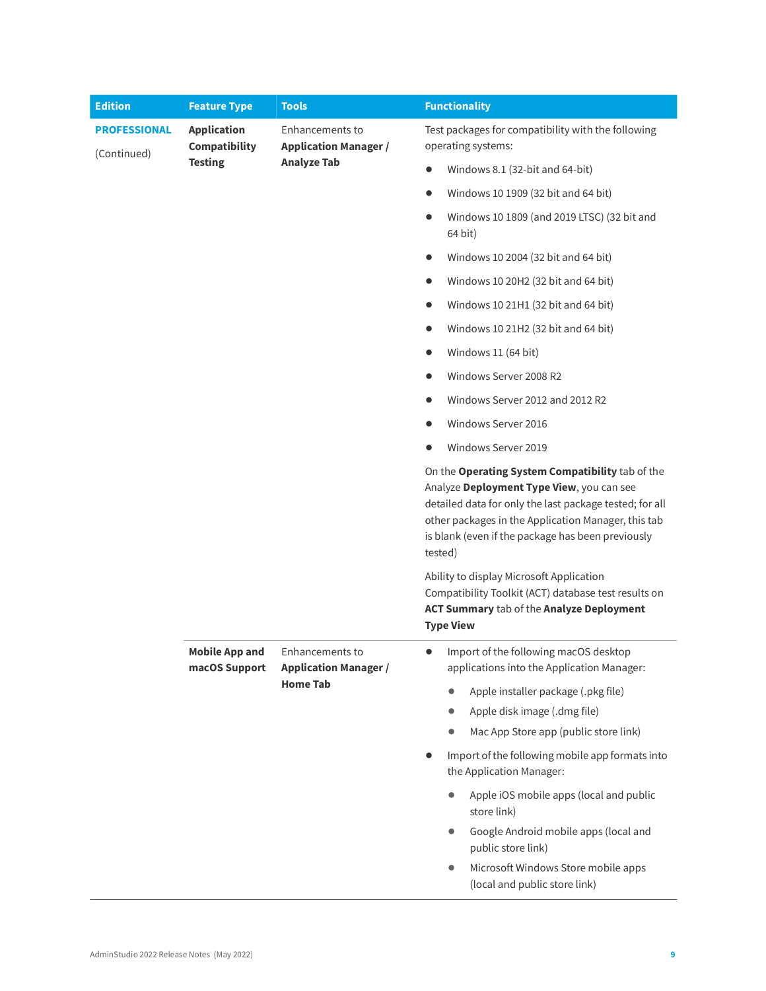| <b>Edition</b>                     | <b>Feature Type</b>                                   | <b>Tools</b>                                                       | <b>Functionality</b>                                                                                                                                                                                                                                                            |
|------------------------------------|-------------------------------------------------------|--------------------------------------------------------------------|---------------------------------------------------------------------------------------------------------------------------------------------------------------------------------------------------------------------------------------------------------------------------------|
| <b>PROFESSIONAL</b><br>(Continued) | <b>Application</b><br>Compatibility<br><b>Testing</b> | Enhancements to<br><b>Application Manager /</b>                    | Test packages for compatibility with the following<br>operating systems:                                                                                                                                                                                                        |
|                                    |                                                       | <b>Analyze Tab</b>                                                 | Windows 8.1 (32-bit and 64-bit)                                                                                                                                                                                                                                                 |
|                                    |                                                       |                                                                    | Windows 10 1909 (32 bit and 64 bit)<br>$\bullet$                                                                                                                                                                                                                                |
|                                    |                                                       |                                                                    | Windows 10 1809 (and 2019 LTSC) (32 bit and<br>$\bullet$<br>64 bit)                                                                                                                                                                                                             |
|                                    |                                                       |                                                                    | Windows 10 2004 (32 bit and 64 bit)<br>$\bullet$                                                                                                                                                                                                                                |
|                                    |                                                       |                                                                    | Windows 10 20H2 (32 bit and 64 bit)<br>$\bullet$                                                                                                                                                                                                                                |
|                                    |                                                       |                                                                    | Windows 10 21H1 (32 bit and 64 bit)<br>$\bullet$                                                                                                                                                                                                                                |
|                                    |                                                       |                                                                    | Windows 10 21H2 (32 bit and 64 bit)<br>$\bullet$                                                                                                                                                                                                                                |
|                                    |                                                       |                                                                    | Windows 11 (64 bit)<br>$\bullet$                                                                                                                                                                                                                                                |
|                                    |                                                       |                                                                    | Windows Server 2008 R2<br>$\bullet$                                                                                                                                                                                                                                             |
|                                    |                                                       |                                                                    | Windows Server 2012 and 2012 R2<br>$\bullet$                                                                                                                                                                                                                                    |
|                                    |                                                       |                                                                    | Windows Server 2016                                                                                                                                                                                                                                                             |
|                                    |                                                       |                                                                    | Windows Server 2019                                                                                                                                                                                                                                                             |
|                                    |                                                       |                                                                    | On the Operating System Compatibility tab of the<br>Analyze Deployment Type View, you can see<br>detailed data for only the last package tested; for all<br>other packages in the Application Manager, this tab<br>is blank (even if the package has been previously<br>tested) |
|                                    |                                                       |                                                                    | Ability to display Microsoft Application<br>Compatibility Toolkit (ACT) database test results on<br>ACT Summary tab of the Analyze Deployment<br><b>Type View</b>                                                                                                               |
|                                    | <b>Mobile App and</b><br>macOS Support                | Enhancements to<br><b>Application Manager /</b><br><b>Home Tab</b> | Import of the following macOS desktop<br>$\bullet$<br>applications into the Application Manager:                                                                                                                                                                                |
|                                    |                                                       |                                                                    | Apple installer package (.pkg file)<br>$\bullet$                                                                                                                                                                                                                                |
|                                    |                                                       |                                                                    | Apple disk image (.dmg file)                                                                                                                                                                                                                                                    |
|                                    |                                                       |                                                                    | Mac App Store app (public store link)                                                                                                                                                                                                                                           |
|                                    |                                                       |                                                                    | Import of the following mobile app formats into<br>$\bullet$<br>the Application Manager:                                                                                                                                                                                        |
|                                    |                                                       |                                                                    | Apple iOS mobile apps (local and public<br>$\bullet$<br>store link)                                                                                                                                                                                                             |
|                                    |                                                       |                                                                    | Google Android mobile apps (local and<br>public store link)                                                                                                                                                                                                                     |
|                                    |                                                       |                                                                    |                                                                                                                                                                                                                                                                                 |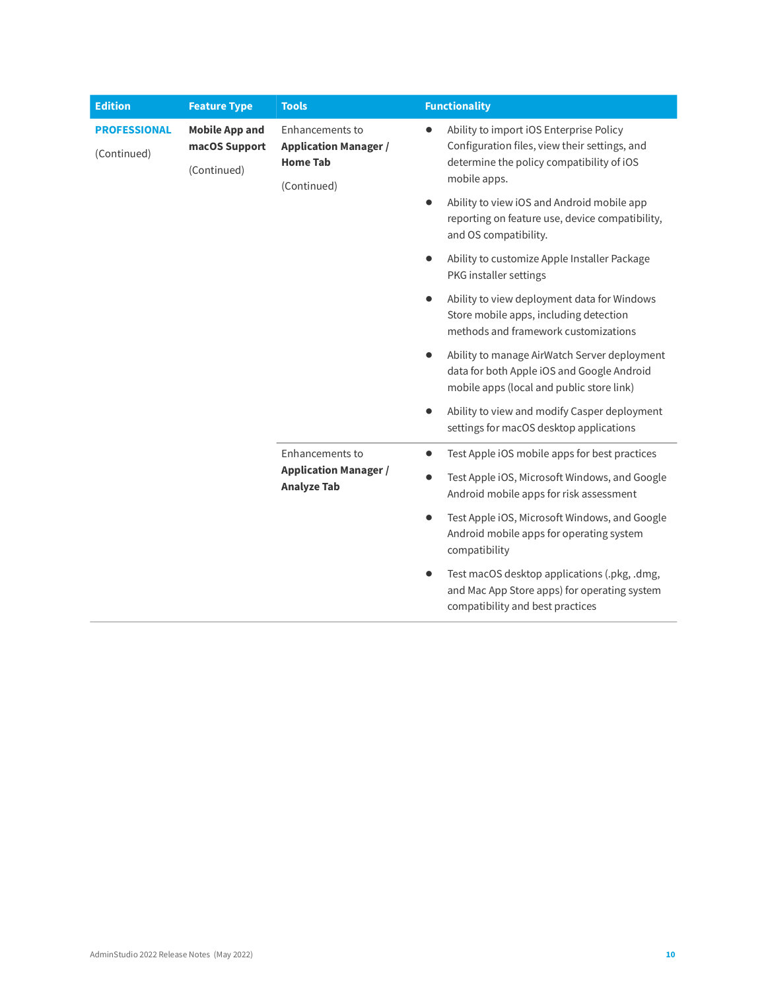| <b>Edition</b>                     | <b>Feature Type</b>                                   | <b>Tools</b>                                                                      |           | <b>Functionality</b>                                                                                                                                  |
|------------------------------------|-------------------------------------------------------|-----------------------------------------------------------------------------------|-----------|-------------------------------------------------------------------------------------------------------------------------------------------------------|
| <b>PROFESSIONAL</b><br>(Continued) | <b>Mobile App and</b><br>macOS Support<br>(Continued) | Enhancements to<br><b>Application Manager /</b><br><b>Home Tab</b><br>(Continued) | $\bullet$ | Ability to import iOS Enterprise Policy<br>Configuration files, view their settings, and<br>determine the policy compatibility of iOS<br>mobile apps. |
|                                    |                                                       |                                                                                   | $\bullet$ | Ability to view iOS and Android mobile app<br>reporting on feature use, device compatibility,<br>and OS compatibility.                                |
|                                    |                                                       |                                                                                   | $\bullet$ | Ability to customize Apple Installer Package<br>PKG installer settings                                                                                |
|                                    |                                                       |                                                                                   | $\bullet$ | Ability to view deployment data for Windows<br>Store mobile apps, including detection<br>methods and framework customizations                         |
|                                    |                                                       |                                                                                   | $\bullet$ | Ability to manage AirWatch Server deployment<br>data for both Apple iOS and Google Android<br>mobile apps (local and public store link)               |
|                                    |                                                       |                                                                                   | $\bullet$ | Ability to view and modify Casper deployment<br>settings for macOS desktop applications                                                               |
|                                    |                                                       | Enhancements to                                                                   | $\bullet$ | Test Apple iOS mobile apps for best practices                                                                                                         |
|                                    |                                                       | <b>Application Manager /</b><br><b>Analyze Tab</b>                                | $\bullet$ | Test Apple iOS, Microsoft Windows, and Google<br>Android mobile apps for risk assessment                                                              |
|                                    |                                                       |                                                                                   | $\bullet$ | Test Apple iOS, Microsoft Windows, and Google<br>Android mobile apps for operating system<br>compatibility                                            |
|                                    |                                                       |                                                                                   | $\bullet$ | Test macOS desktop applications (.pkg, .dmg,<br>and Mac App Store apps) for operating system<br>compatibility and best practices                      |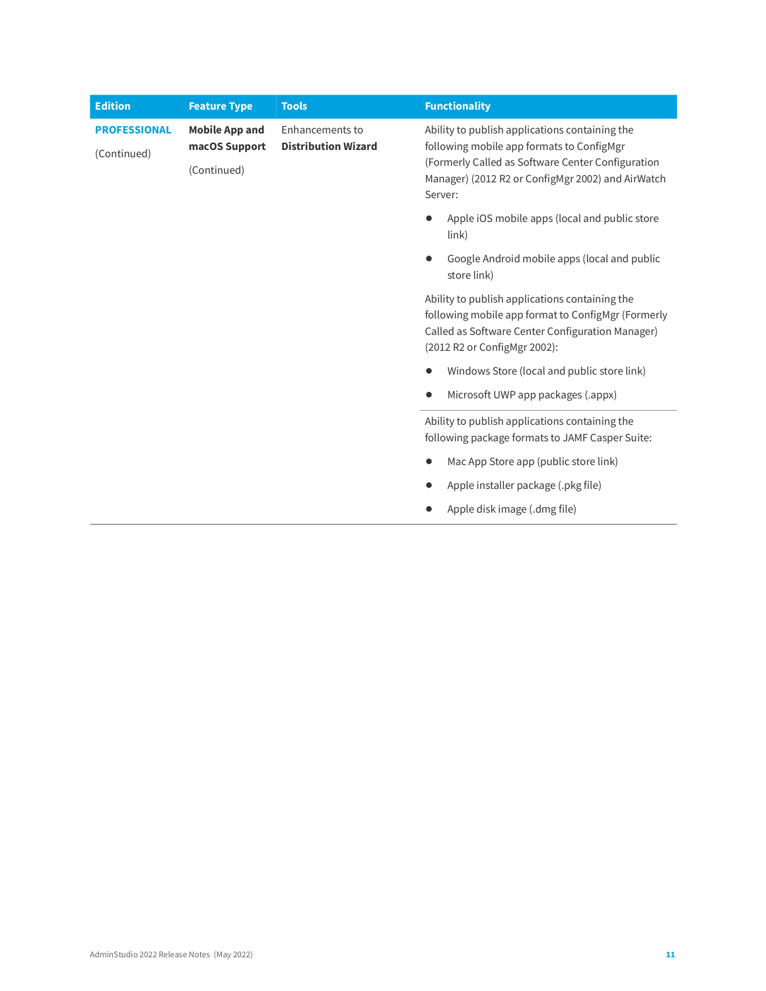| <b>Edition</b>                     | <b>Feature Type</b>                                   | <b>Tools</b>                                  | <b>Functionality</b>                                                                                                                                                                                             |
|------------------------------------|-------------------------------------------------------|-----------------------------------------------|------------------------------------------------------------------------------------------------------------------------------------------------------------------------------------------------------------------|
| <b>PROFESSIONAL</b><br>(Continued) | <b>Mobile App and</b><br>macOS Support<br>(Continued) | Enhancements to<br><b>Distribution Wizard</b> | Ability to publish applications containing the<br>following mobile app formats to ConfigMgr<br>(Formerly Called as Software Center Configuration<br>Manager) (2012 R2 or ConfigMgr 2002) and AirWatch<br>Server: |
|                                    |                                                       |                                               | Apple iOS mobile apps (local and public store<br>$\{link\}$                                                                                                                                                      |
|                                    |                                                       |                                               | Google Android mobile apps (local and public<br>store link)                                                                                                                                                      |
|                                    |                                                       |                                               | Ability to publish applications containing the<br>following mobile app format to ConfigMgr (Formerly<br>Called as Software Center Configuration Manager)<br>(2012 R2 or ConfigMgr 2002):                         |
|                                    |                                                       |                                               | Windows Store (local and public store link)                                                                                                                                                                      |
|                                    |                                                       |                                               |                                                                                                                                                                                                                  |
|                                    |                                                       |                                               | Ability to publish applications containing the<br>following package formats to JAMF Casper Suite:                                                                                                                |
|                                    |                                                       |                                               | Mac App Store app (public store link)                                                                                                                                                                            |
|                                    |                                                       |                                               | Apple installer package (.pkg file)                                                                                                                                                                              |
|                                    |                                                       |                                               | Apple disk image (.dmg file)                                                                                                                                                                                     |
|                                    |                                                       |                                               |                                                                                                                                                                                                                  |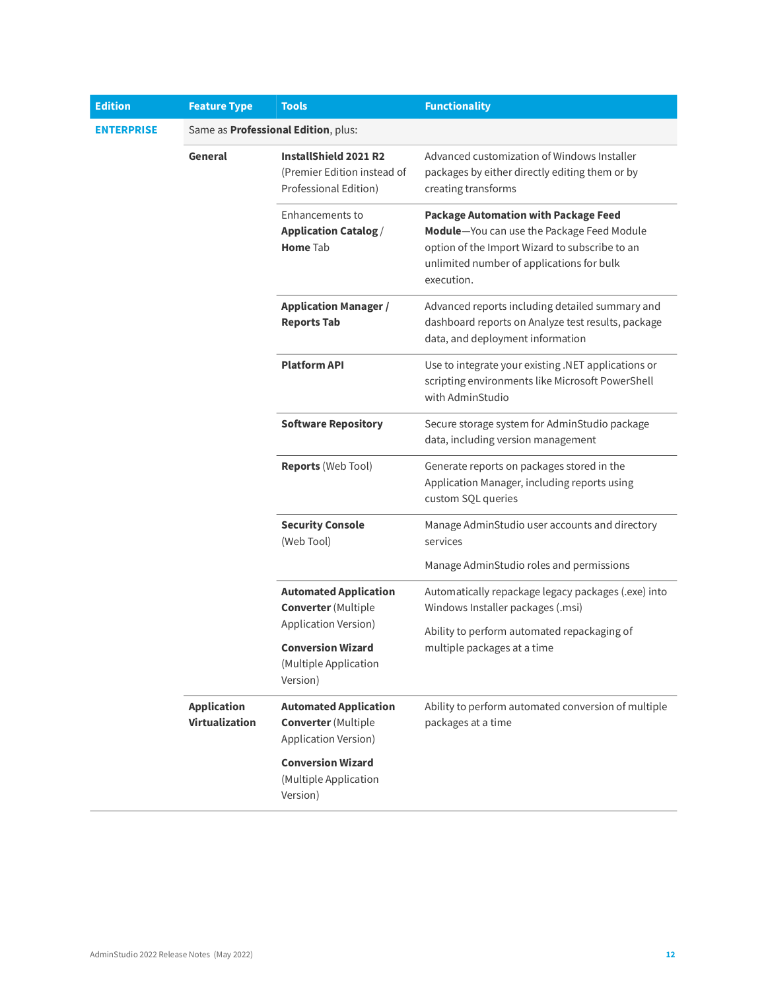| <b>Edition</b>    | <b>Feature Type</b>                  | <b>Tools</b>                                                                          | <b>Functionality</b>                                                                                                                                                                                   |
|-------------------|--------------------------------------|---------------------------------------------------------------------------------------|--------------------------------------------------------------------------------------------------------------------------------------------------------------------------------------------------------|
| <b>ENTERPRISE</b> |                                      | Same as Professional Edition, plus:                                                   |                                                                                                                                                                                                        |
|                   | General                              | InstallShield 2021 R2<br>(Premier Edition instead of<br>Professional Edition)         | Advanced customization of Windows Installer<br>packages by either directly editing them or by<br>creating transforms                                                                                   |
|                   |                                      | Enhancements to<br><b>Application Catalog /</b><br><b>Home Tab</b>                    | <b>Package Automation with Package Feed</b><br>Module-You can use the Package Feed Module<br>option of the Import Wizard to subscribe to an<br>unlimited number of applications for bulk<br>execution. |
|                   |                                      | <b>Application Manager /</b><br><b>Reports Tab</b>                                    | Advanced reports including detailed summary and<br>dashboard reports on Analyze test results, package<br>data, and deployment information                                                              |
|                   |                                      | <b>Platform API</b>                                                                   | Use to integrate your existing .NET applications or<br>scripting environments like Microsoft PowerShell<br>with AdminStudio                                                                            |
|                   |                                      | <b>Software Repository</b>                                                            | Secure storage system for AdminStudio package<br>data, including version management                                                                                                                    |
|                   |                                      | <b>Reports (Web Tool)</b>                                                             | Generate reports on packages stored in the<br>Application Manager, including reports using<br>custom SQL queries                                                                                       |
|                   |                                      | <b>Security Console</b><br>(Web Tool)                                                 | Manage AdminStudio user accounts and directory<br>services                                                                                                                                             |
|                   |                                      |                                                                                       | Manage AdminStudio roles and permissions                                                                                                                                                               |
|                   |                                      | <b>Automated Application</b><br><b>Converter</b> (Multiple                            | Automatically repackage legacy packages (.exe) into<br>Windows Installer packages (.msi)                                                                                                               |
|                   |                                      | Application Version)<br><b>Conversion Wizard</b><br>(Multiple Application<br>Version) | Ability to perform automated repackaging of<br>multiple packages at a time                                                                                                                             |
|                   | <b>Application</b><br>Virtualization | <b>Automated Application</b><br><b>Converter</b> (Multiple<br>Application Version)    | Ability to perform automated conversion of multiple<br>packages at a time                                                                                                                              |
|                   |                                      | <b>Conversion Wizard</b><br>(Multiple Application<br>Version)                         |                                                                                                                                                                                                        |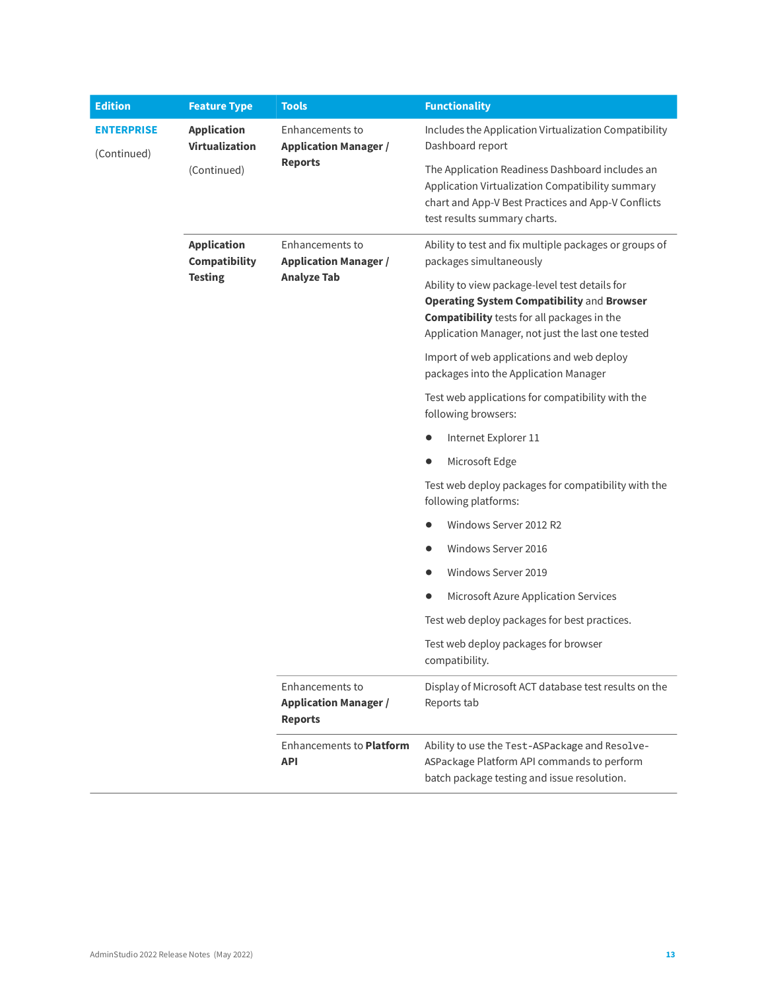| <b>Edition</b>                   | <b>Feature Type</b>                                   | <b>Tools</b>                                                          | <b>Functionality</b>                                                                                                                                                                                    |
|----------------------------------|-------------------------------------------------------|-----------------------------------------------------------------------|---------------------------------------------------------------------------------------------------------------------------------------------------------------------------------------------------------|
| <b>ENTERPRISE</b><br>(Continued) | <b>Application</b><br><b>Virtualization</b>           | Enhancements to<br><b>Application Manager /</b><br><b>Reports</b>     | Includes the Application Virtualization Compatibility<br>Dashboard report                                                                                                                               |
|                                  | (Continued)                                           |                                                                       | The Application Readiness Dashboard includes an<br>Application Virtualization Compatibility summary<br>chart and App-V Best Practices and App-V Conflicts<br>test results summary charts.               |
|                                  | <b>Application</b><br>Compatibility<br><b>Testing</b> | Enhancements to<br><b>Application Manager /</b><br><b>Analyze Tab</b> | Ability to test and fix multiple packages or groups of<br>packages simultaneously                                                                                                                       |
|                                  |                                                       |                                                                       | Ability to view package-level test details for<br>Operating System Compatibility and Browser<br><b>Compatibility</b> tests for all packages in the<br>Application Manager, not just the last one tested |
|                                  |                                                       |                                                                       | Import of web applications and web deploy<br>packages into the Application Manager                                                                                                                      |
|                                  |                                                       |                                                                       | Test web applications for compatibility with the<br>following browsers:                                                                                                                                 |
|                                  |                                                       |                                                                       | Internet Explorer 11                                                                                                                                                                                    |
|                                  |                                                       |                                                                       | Microsoft Edge                                                                                                                                                                                          |
|                                  |                                                       |                                                                       | Test web deploy packages for compatibility with the<br>following platforms:                                                                                                                             |
|                                  |                                                       |                                                                       | Windows Server 2012 R2                                                                                                                                                                                  |
|                                  |                                                       |                                                                       | Windows Server 2016<br>$\bullet$                                                                                                                                                                        |
|                                  |                                                       |                                                                       | Windows Server 2019                                                                                                                                                                                     |
|                                  |                                                       |                                                                       | Microsoft Azure Application Services                                                                                                                                                                    |
|                                  |                                                       |                                                                       | Test web deploy packages for best practices.                                                                                                                                                            |
|                                  |                                                       |                                                                       | Test web deploy packages for browser<br>compatibility.                                                                                                                                                  |
|                                  |                                                       | Enhancements to<br><b>Application Manager /</b><br><b>Reports</b>     | Display of Microsoft ACT database test results on the<br>Reports tab                                                                                                                                    |
|                                  |                                                       | <b>Enhancements to Platform</b><br><b>API</b>                         | Ability to use the Test-ASPackage and Resolve-<br>ASPackage Platform API commands to perform<br>batch package testing and issue resolution.                                                             |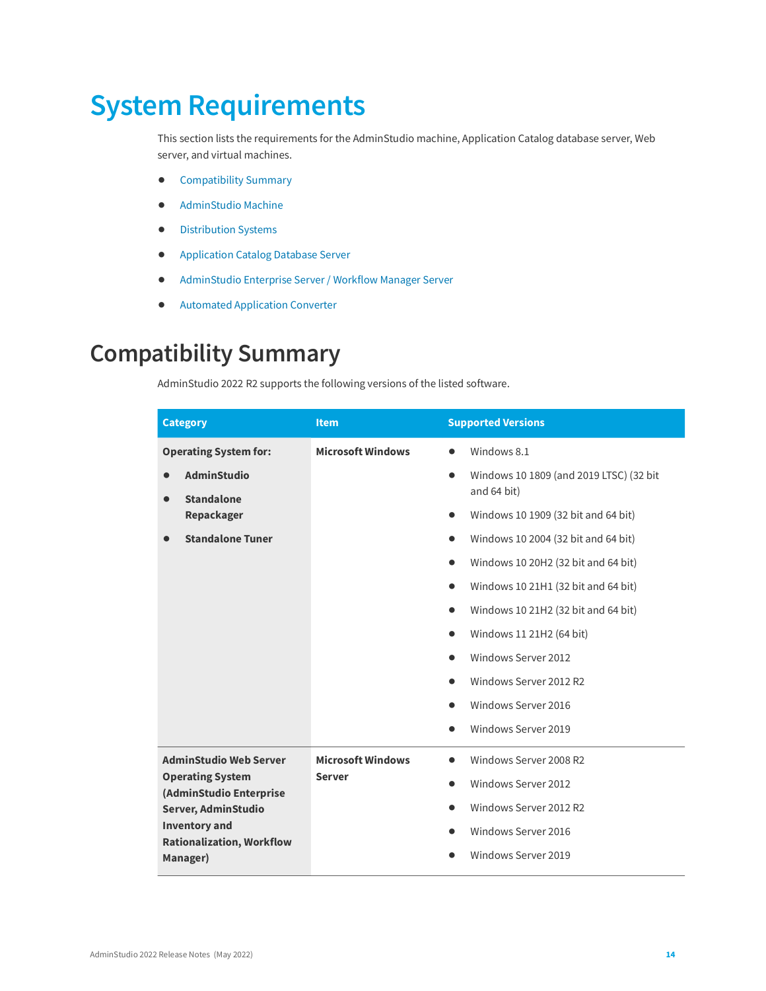# <span id="page-13-0"></span>**System Requirements**

This section lists the requirements for the AdminStudio machine, Application Catalog database server, Web server, and virtual machines.

- **•** [Compatibility Summary](#page-13-1)
- **•** [AdminStudio Machine](#page-19-0)
- **•** [Distribution Systems](#page-20-0)
- **•** [Application Catalog Database Server](#page-21-0)
- **•** [AdminStudio Enterprise Server / Workflow](#page-22-0) Manager Server
- **•** [Automated Application Converter](#page-23-0)

# <span id="page-13-1"></span>**Compatibility Summary**

AdminStudio 2022 R2 supports the following versions of the listed software.

| <b>Category</b>                                    | <b>Item</b>              | <b>Supported Versions</b>                            |
|----------------------------------------------------|--------------------------|------------------------------------------------------|
| <b>Operating System for:</b>                       | <b>Microsoft Windows</b> | Windows 8.1<br>$\bullet$                             |
| <b>AdminStudio</b>                                 |                          | Windows 10 1809 (and 2019 LTSC) (32 bit<br>$\bullet$ |
| <b>Standalone</b>                                  |                          | and 64 bit)                                          |
| Repackager                                         |                          | Windows 10 1909 (32 bit and 64 bit)<br>$\bullet$     |
| <b>Standalone Tuner</b>                            |                          | Windows 10 2004 (32 bit and 64 bit)<br>$\bullet$     |
|                                                    |                          | Windows 10 20H2 (32 bit and 64 bit)<br>$\bullet$     |
|                                                    |                          | Windows 10 21H1 (32 bit and 64 bit)<br>$\bullet$     |
|                                                    |                          | Windows 10 21H2 (32 bit and 64 bit)<br>$\bullet$     |
|                                                    |                          | Windows 11 21H2 (64 bit)<br>$\bullet$                |
|                                                    |                          | Windows Server 2012<br>$\bullet$                     |
|                                                    |                          | Windows Server 2012 R2<br>$\bullet$                  |
|                                                    |                          | Windows Server 2016<br>$\bullet$                     |
|                                                    |                          | Windows Server 2019<br>$\bullet$                     |
| <b>AdminStudio Web Server</b>                      | <b>Microsoft Windows</b> | Windows Server 2008 R2<br>$\bullet$                  |
| <b>Operating System</b><br>(AdminStudio Enterprise | <b>Server</b>            | Windows Server 2012<br>$\bullet$                     |
| Server, AdminStudio                                |                          | Windows Server 2012 R2<br>$\bullet$                  |
| <b>Inventory and</b>                               |                          | Windows Server 2016<br>$\bullet$                     |
| <b>Rationalization, Workflow</b><br>Manager)       |                          | Windows Server 2019                                  |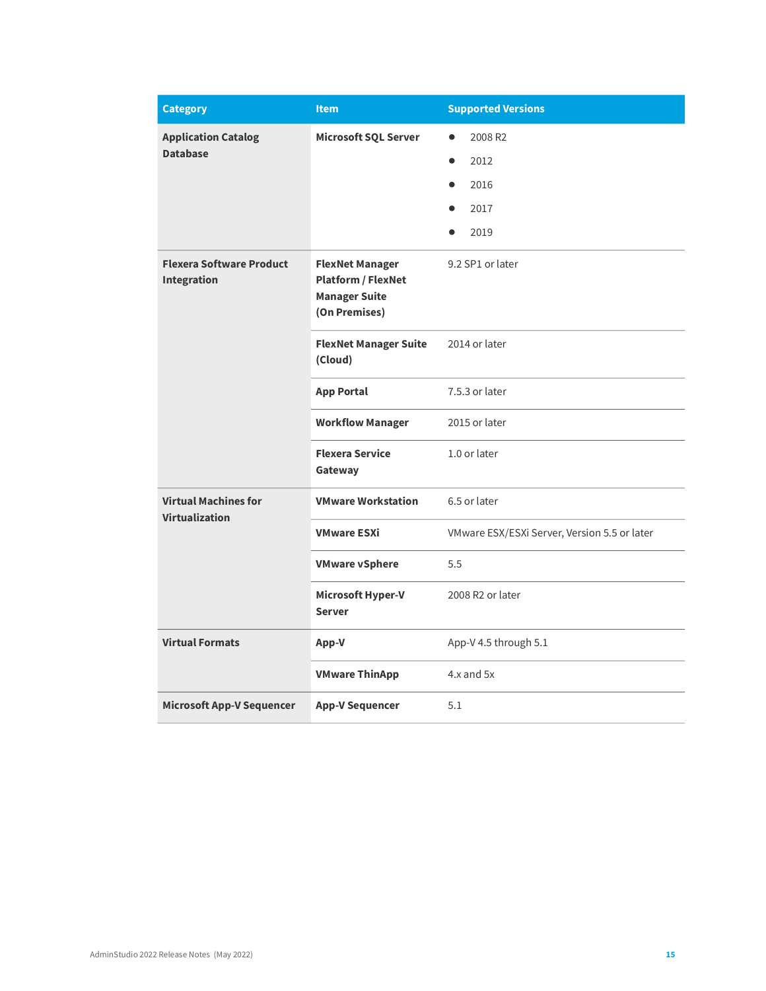| <b>Category</b>                                | <b>Item</b>                                                                                  | <b>Supported Versions</b>                    |
|------------------------------------------------|----------------------------------------------------------------------------------------------|----------------------------------------------|
| <b>Application Catalog</b><br><b>Database</b>  | <b>Microsoft SQL Server</b>                                                                  | 2008 R2<br>2012<br>2016<br>2017<br>2019      |
| <b>Flexera Software Product</b><br>Integration | <b>FlexNet Manager</b><br><b>Platform / FlexNet</b><br><b>Manager Suite</b><br>(On Premises) | 9.2 SP1 or later                             |
|                                                | <b>FlexNet Manager Suite</b><br>(Cloud)                                                      | 2014 or later                                |
|                                                | <b>App Portal</b>                                                                            | 7.5.3 or later                               |
|                                                | <b>Workflow Manager</b>                                                                      | 2015 or later                                |
|                                                | <b>Flexera Service</b><br>Gateway                                                            | 1.0 or later                                 |
| <b>Virtual Machines for</b>                    | <b>VMware Workstation</b>                                                                    | 6.5 or later                                 |
| Virtualization                                 | <b>VMware ESXi</b>                                                                           | VMware ESX/ESXi Server, Version 5.5 or later |
|                                                | <b>VMware vSphere</b>                                                                        | 5.5                                          |
|                                                | Microsoft Hyper-V<br><b>Server</b>                                                           | 2008 R2 or later                             |
| <b>Virtual Formats</b>                         | App-V                                                                                        | App-V 4.5 through 5.1                        |
|                                                | <b>VMware ThinApp</b>                                                                        | 4.x and 5x                                   |
| <b>Microsoft App-V Sequencer</b>               | <b>App-V Sequencer</b>                                                                       | 5.1                                          |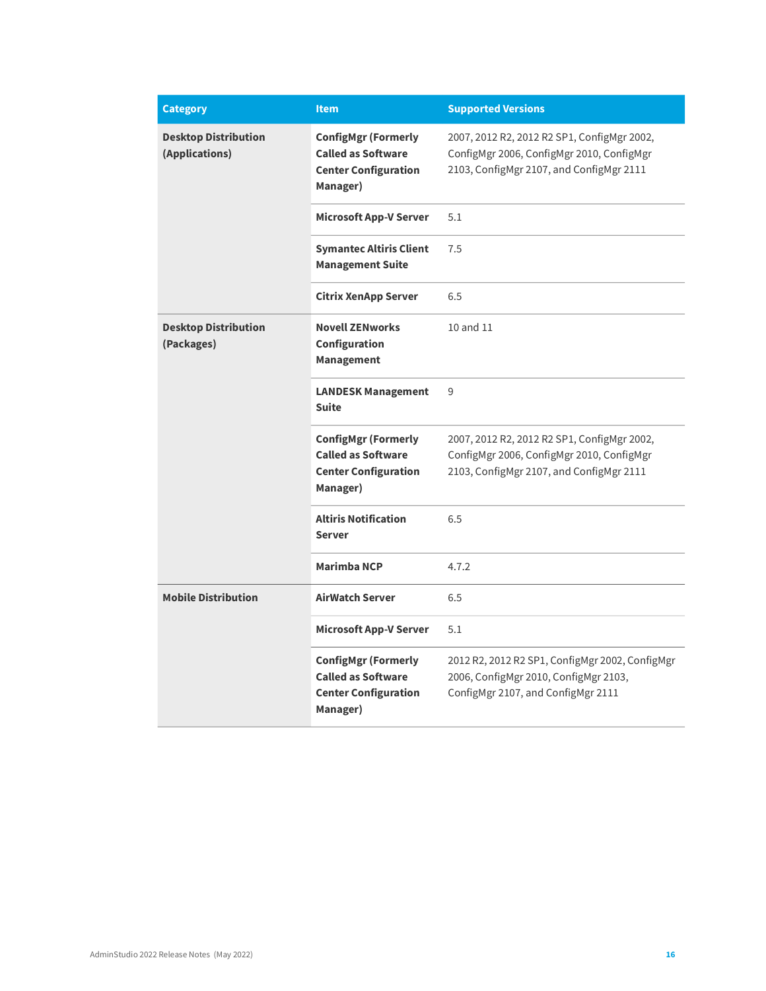| <b>Category</b>                               | <b>Item</b>                                                                                        | <b>Supported Versions</b>                                                                                                            |
|-----------------------------------------------|----------------------------------------------------------------------------------------------------|--------------------------------------------------------------------------------------------------------------------------------------|
| <b>Desktop Distribution</b><br>(Applications) | <b>ConfigMgr (Formerly</b><br><b>Called as Software</b><br><b>Center Configuration</b><br>Manager) | 2007, 2012 R2, 2012 R2 SP1, ConfigMgr 2002,<br>ConfigMgr 2006, ConfigMgr 2010, ConfigMgr<br>2103, ConfigMgr 2107, and ConfigMgr 2111 |
|                                               | <b>Microsoft App-V Server</b>                                                                      | 5.1                                                                                                                                  |
|                                               | <b>Symantec Altiris Client</b><br><b>Management Suite</b>                                          | 7.5                                                                                                                                  |
|                                               | <b>Citrix XenApp Server</b>                                                                        | 6.5                                                                                                                                  |
| <b>Desktop Distribution</b><br>(Packages)     | <b>Novell ZENworks</b><br>Configuration<br><b>Management</b>                                       | 10 and 11                                                                                                                            |
|                                               | <b>LANDESK Management</b><br><b>Suite</b>                                                          | 9                                                                                                                                    |
|                                               | <b>ConfigMgr (Formerly</b><br><b>Called as Software</b><br><b>Center Configuration</b><br>Manager) | 2007, 2012 R2, 2012 R2 SP1, ConfigMgr 2002,<br>ConfigMgr 2006, ConfigMgr 2010, ConfigMgr<br>2103, ConfigMgr 2107, and ConfigMgr 2111 |
|                                               | <b>Altiris Notification</b><br><b>Server</b>                                                       | 6.5                                                                                                                                  |
|                                               | <b>Marimba NCP</b>                                                                                 | 4.7.2                                                                                                                                |
| <b>Mobile Distribution</b>                    | <b>AirWatch Server</b>                                                                             | 6.5                                                                                                                                  |
|                                               | <b>Microsoft App-V Server</b>                                                                      | 5.1                                                                                                                                  |
|                                               | <b>ConfigMgr (Formerly</b><br><b>Called as Software</b><br><b>Center Configuration</b><br>Manager) | 2012 R2, 2012 R2 SP1, ConfigMgr 2002, ConfigMgr<br>2006, ConfigMgr 2010, ConfigMgr 2103,<br>ConfigMgr 2107, and ConfigMgr 2111       |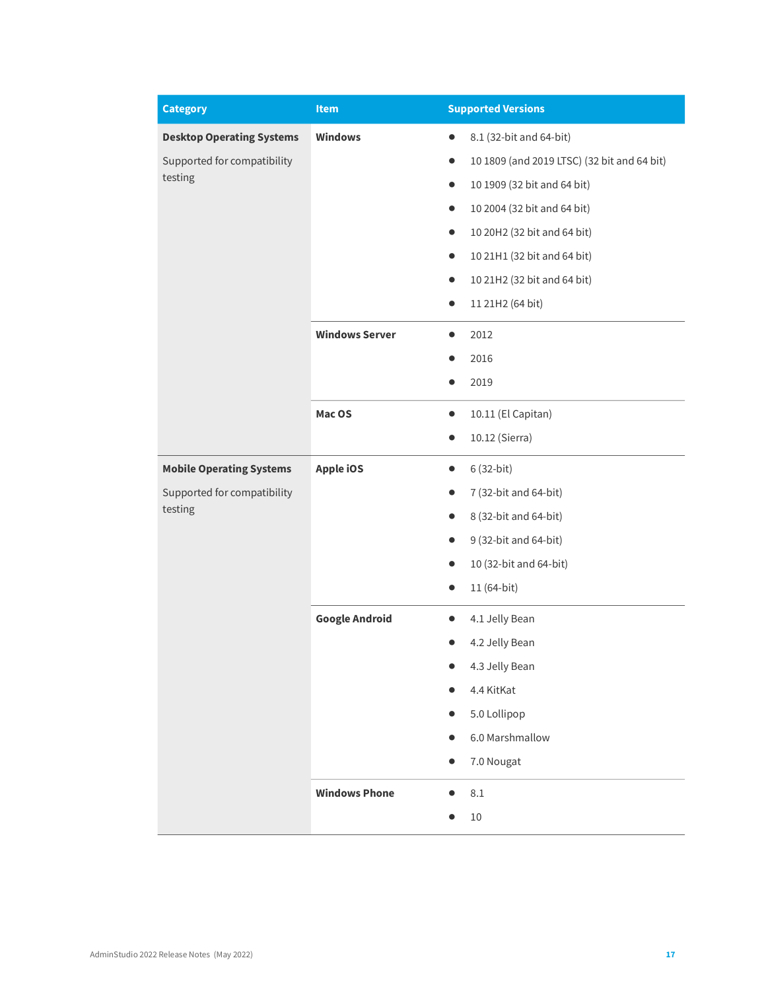| <b>Category</b>                  | Item                  | <b>Supported Versions</b>                                |
|----------------------------------|-----------------------|----------------------------------------------------------|
| <b>Desktop Operating Systems</b> | <b>Windows</b>        | 8.1 (32-bit and 64-bit)<br>$\bullet$                     |
| Supported for compatibility      |                       | 10 1809 (and 2019 LTSC) (32 bit and 64 bit)<br>$\bullet$ |
| testing                          |                       | 10 1909 (32 bit and 64 bit)<br>$\bullet$                 |
|                                  |                       | 10 2004 (32 bit and 64 bit)<br>$\bullet$                 |
|                                  |                       | 10 20H2 (32 bit and 64 bit)                              |
|                                  |                       | 10 21H1 (32 bit and 64 bit)<br>$\bullet$                 |
|                                  |                       | 10 21H2 (32 bit and 64 bit)<br>$\bullet$                 |
|                                  |                       | 11 21H2 (64 bit)<br>$\bullet$                            |
|                                  | <b>Windows Server</b> | 2012<br>$\bullet$                                        |
|                                  |                       | 2016                                                     |
|                                  |                       | 2019                                                     |
|                                  | Mac OS                | 10.11 (El Capitan)<br>$\bullet$                          |
|                                  |                       | 10.12 (Sierra)<br>$\bullet$                              |
| <b>Mobile Operating Systems</b>  | <b>Apple iOS</b>      | 6 (32-bit)<br>$\bullet$                                  |
| Supported for compatibility      |                       | 7 (32-bit and 64-bit)<br>$\bullet$                       |
| testing                          |                       | 8 (32-bit and 64-bit)                                    |
|                                  |                       | 9 (32-bit and 64-bit)                                    |
|                                  |                       | 10 (32-bit and 64-bit)                                   |
|                                  |                       | 11 (64-bit)<br>$\bullet$                                 |
|                                  | <b>Google Android</b> | 4.1 Jelly Bean                                           |
|                                  |                       | 4.2 Jelly Bean                                           |
|                                  |                       | 4.3 Jelly Bean                                           |
|                                  |                       | 4.4 KitKat                                               |
|                                  |                       | 5.0 Lollipop                                             |
|                                  |                       | 6.0 Marshmallow                                          |
|                                  |                       | 7.0 Nougat<br>$\bullet$                                  |
|                                  | <b>Windows Phone</b>  | $8.1\,$<br>$\bullet$                                     |
|                                  |                       | $10\,$                                                   |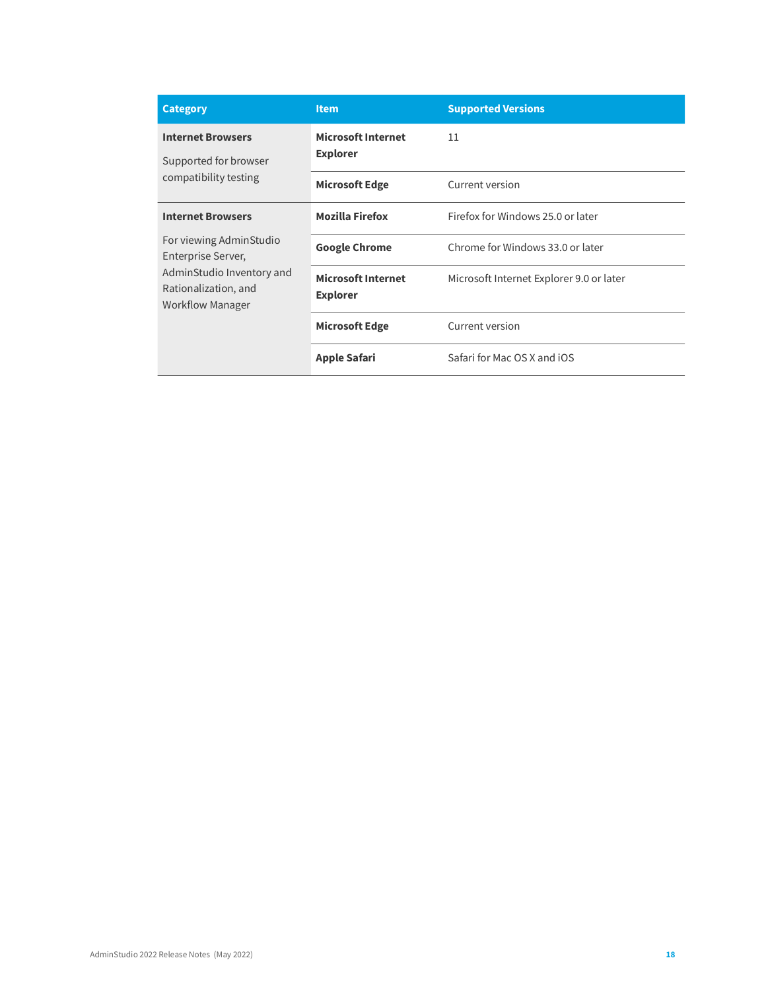| <b>Category</b>                                                              | <b>Item</b>                                  | <b>Supported Versions</b>                |
|------------------------------------------------------------------------------|----------------------------------------------|------------------------------------------|
| <b>Internet Browsers</b><br>Supported for browser                            | <b>Microsoft Internet</b><br><b>Explorer</b> | 11                                       |
| compatibility testing                                                        | <b>Microsoft Edge</b>                        | Current version                          |
| <b>Internet Browsers</b>                                                     | <b>Mozilla Firefox</b>                       | Firefox for Windows 25.0 or later        |
| For viewing AdminStudio<br>Enterprise Server,                                | <b>Google Chrome</b>                         | Chrome for Windows 33.0 or later         |
| AdminStudio Inventory and<br>Rationalization, and<br><b>Workflow Manager</b> | <b>Microsoft Internet</b><br><b>Explorer</b> | Microsoft Internet Explorer 9.0 or later |
|                                                                              | <b>Microsoft Edge</b>                        | Current version                          |
|                                                                              | <b>Apple Safari</b>                          | Safari for Mac OS X and iOS              |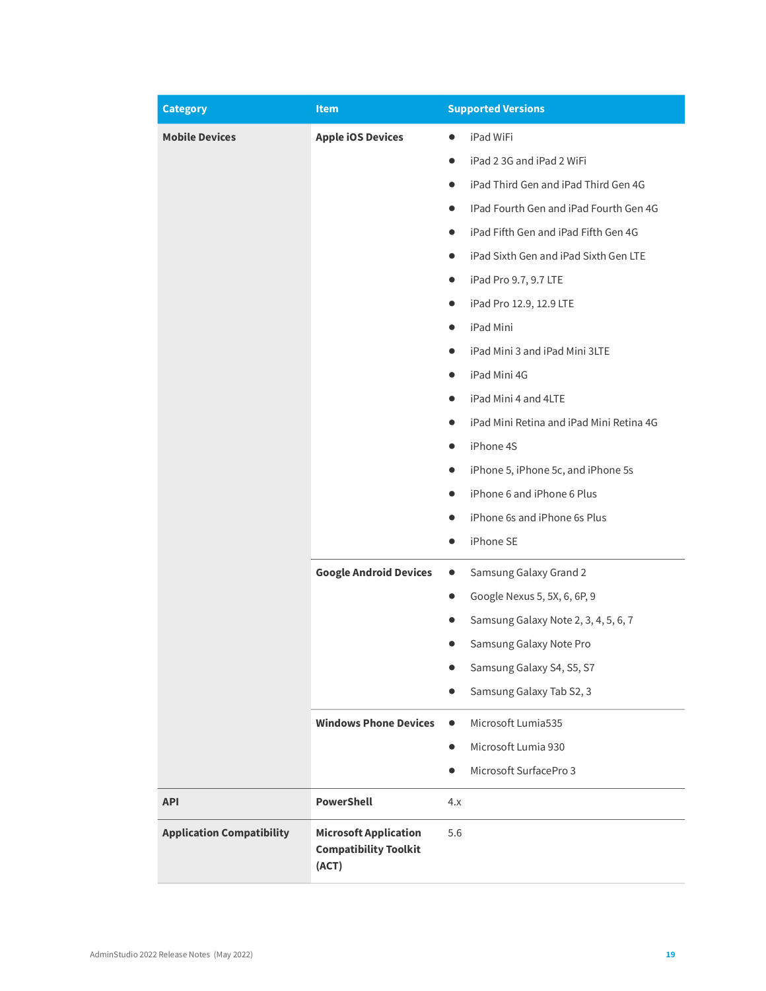| <b>Category</b>                  | <b>Item</b>                                                           | <b>Supported Versions</b>                           |
|----------------------------------|-----------------------------------------------------------------------|-----------------------------------------------------|
| <b>Mobile Devices</b>            | <b>Apple iOS Devices</b>                                              | iPad WiFi                                           |
|                                  |                                                                       | iPad 2 3G and iPad 2 WiFi<br>$\bullet$              |
|                                  |                                                                       | iPad Third Gen and iPad Third Gen 4G<br>$\bullet$   |
|                                  |                                                                       | IPad Fourth Gen and iPad Fourth Gen 4G<br>$\bullet$ |
|                                  |                                                                       | iPad Fifth Gen and iPad Fifth Gen 4G                |
|                                  |                                                                       | iPad Sixth Gen and iPad Sixth Gen LTE<br>$\bullet$  |
|                                  |                                                                       | iPad Pro 9.7, 9.7 LTE<br>$\bullet$                  |
|                                  |                                                                       | iPad Pro 12.9, 12.9 LTE<br>$\bullet$                |
|                                  |                                                                       | iPad Mini<br>$\bullet$                              |
|                                  |                                                                       | iPad Mini 3 and iPad Mini 3LTE                      |
|                                  |                                                                       | iPad Mini 4G                                        |
|                                  |                                                                       | iPad Mini 4 and 4LTE<br>$\bullet$                   |
|                                  |                                                                       | iPad Mini Retina and iPad Mini Retina 4G            |
|                                  |                                                                       | iPhone 4S<br>$\bullet$                              |
|                                  |                                                                       | iPhone 5, iPhone 5c, and iPhone 5s<br>$\bullet$     |
|                                  |                                                                       | iPhone 6 and iPhone 6 Plus                          |
|                                  |                                                                       | iPhone 6s and iPhone 6s Plus                        |
|                                  |                                                                       | iPhone SE<br>$\bullet$                              |
|                                  | <b>Google Android Devices</b>                                         | Samsung Galaxy Grand 2<br>$\bullet$                 |
|                                  |                                                                       | Google Nexus 5, 5X, 6, 6P, 9<br>$\bullet$           |
|                                  |                                                                       | Samsung Galaxy Note 2, 3, 4, 5, 6, 7<br>●           |
|                                  |                                                                       | Samsung Galaxy Note Pro                             |
|                                  |                                                                       | Samsung Galaxy S4, S5, S7                           |
|                                  |                                                                       | Samsung Galaxy Tab S2, 3                            |
|                                  | <b>Windows Phone Devices</b>                                          | Microsoft Lumia535<br>$\bullet$                     |
|                                  |                                                                       | Microsoft Lumia 930<br>$\bullet$                    |
|                                  |                                                                       | Microsoft SurfacePro 3<br>$\bullet$                 |
| <b>API</b>                       | <b>PowerShell</b>                                                     | 4.x                                                 |
| <b>Application Compatibility</b> | <b>Microsoft Application</b><br><b>Compatibility Toolkit</b><br>(ACT) | 5.6                                                 |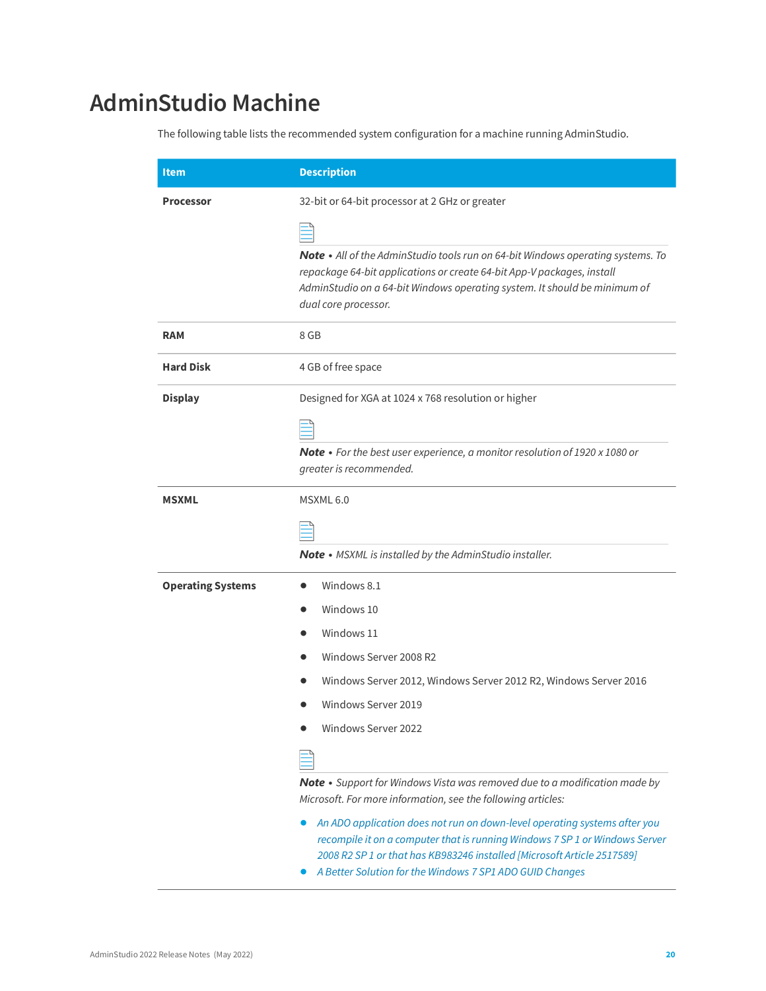# <span id="page-19-0"></span>**AdminStudio Machine**

The following table lists the recommended system configuration for a machine running AdminStudio.

| <b>Item</b>              | <b>Description</b>                                                                                                                                                                                                                                                                              |  |
|--------------------------|-------------------------------------------------------------------------------------------------------------------------------------------------------------------------------------------------------------------------------------------------------------------------------------------------|--|
| <b>Processor</b>         | 32-bit or 64-bit processor at 2 GHz or greater                                                                                                                                                                                                                                                  |  |
|                          |                                                                                                                                                                                                                                                                                                 |  |
|                          | Note • All of the AdminStudio tools run on 64-bit Windows operating systems. To<br>repackage 64-bit applications or create 64-bit App-V packages, install<br>AdminStudio on a 64-bit Windows operating system. It should be minimum of<br>dual core processor.                                  |  |
| <b>RAM</b>               | 8 GB                                                                                                                                                                                                                                                                                            |  |
| <b>Hard Disk</b>         | 4 GB of free space                                                                                                                                                                                                                                                                              |  |
| <b>Display</b>           | Designed for XGA at 1024 x 768 resolution or higher                                                                                                                                                                                                                                             |  |
|                          |                                                                                                                                                                                                                                                                                                 |  |
|                          | Note • For the best user experience, a monitor resolution of 1920 x 1080 or<br>greater is recommended.                                                                                                                                                                                          |  |
| <b>MSXML</b>             | MSXML <sub>6.0</sub>                                                                                                                                                                                                                                                                            |  |
|                          |                                                                                                                                                                                                                                                                                                 |  |
|                          | <b>Note</b> • MSXML is installed by the AdminStudio installer.                                                                                                                                                                                                                                  |  |
| <b>Operating Systems</b> | Windows 8.1                                                                                                                                                                                                                                                                                     |  |
|                          | Windows 10                                                                                                                                                                                                                                                                                      |  |
|                          | Windows 11                                                                                                                                                                                                                                                                                      |  |
|                          | Windows Server 2008 R2                                                                                                                                                                                                                                                                          |  |
|                          | Windows Server 2012, Windows Server 2012 R2, Windows Server 2016                                                                                                                                                                                                                                |  |
|                          | Windows Server 2019                                                                                                                                                                                                                                                                             |  |
|                          | Windows Server 2022                                                                                                                                                                                                                                                                             |  |
|                          |                                                                                                                                                                                                                                                                                                 |  |
|                          | Note • Support for Windows Vista was removed due to a modification made by<br>Microsoft. For more information, see the following articles:                                                                                                                                                      |  |
|                          | An ADO application does not run on down-level operating systems after you<br>recompile it on a computer that is running Windows 7 SP 1 or Windows Server<br>2008 R2 SP 1 or that has KB983246 installed [Microsoft Article 2517589]<br>A Better Solution for the Windows 7 SP1 ADO GUID Changes |  |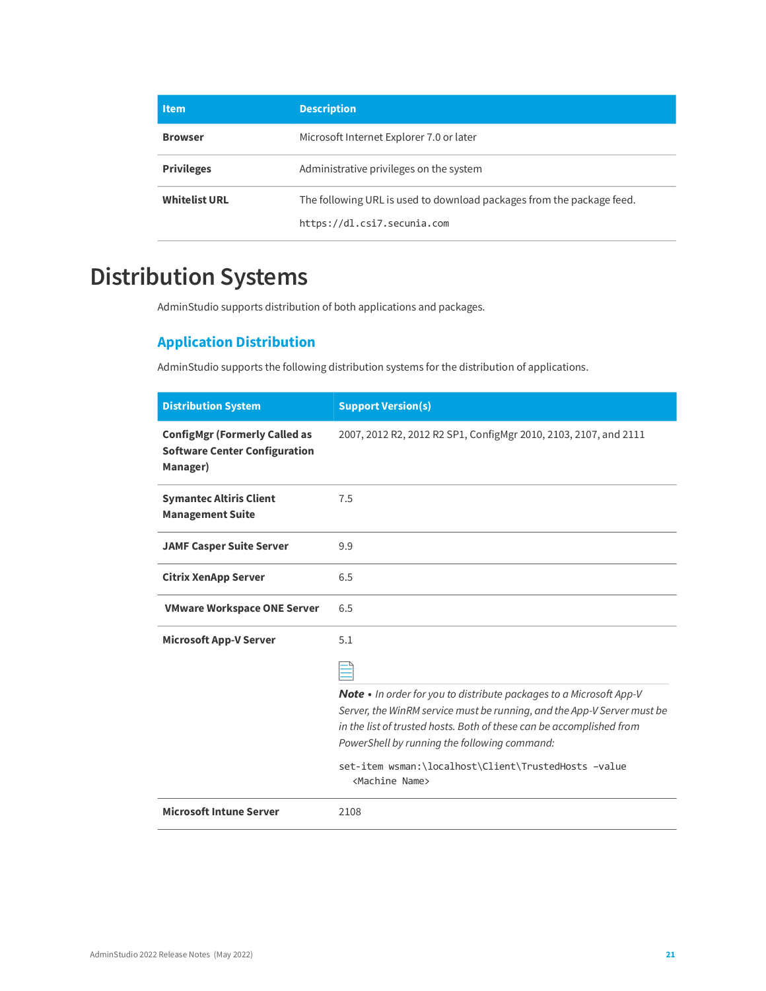| <b>Item</b>          | <b>Description</b>                                                    |
|----------------------|-----------------------------------------------------------------------|
| <b>Browser</b>       | Microsoft Internet Explorer 7.0 or later                              |
| <b>Privileges</b>    | Administrative privileges on the system                               |
| <b>Whitelist URL</b> | The following URL is used to download packages from the package feed. |
|                      | https://dl.csi7.secunia.com                                           |

# <span id="page-20-0"></span>**Distribution Systems**

AdminStudio supports distribution of both applications and packages.

### **Application Distribution**

AdminStudio supports the following distribution systems for the distribution of applications.

| <b>Distribution System</b>                                                               | <b>Support Version(s)</b>                                                                                                                                                                                                                                              |
|------------------------------------------------------------------------------------------|------------------------------------------------------------------------------------------------------------------------------------------------------------------------------------------------------------------------------------------------------------------------|
| <b>ConfigMgr (Formerly Called as</b><br><b>Software Center Configuration</b><br>Manager) | 2007, 2012 R2, 2012 R2 SP1, ConfigMgr 2010, 2103, 2107, and 2111                                                                                                                                                                                                       |
| <b>Symantec Altiris Client</b><br><b>Management Suite</b>                                | 7.5                                                                                                                                                                                                                                                                    |
| <b>JAMF Casper Suite Server</b>                                                          | 9.9                                                                                                                                                                                                                                                                    |
| <b>Citrix XenApp Server</b>                                                              | 6.5                                                                                                                                                                                                                                                                    |
| <b>VMware Workspace ONE Server</b>                                                       | 6.5                                                                                                                                                                                                                                                                    |
| <b>Microsoft App-V Server</b>                                                            | 5.1                                                                                                                                                                                                                                                                    |
|                                                                                          |                                                                                                                                                                                                                                                                        |
|                                                                                          | Note • In order for you to distribute packages to a Microsoft App-V<br>Server, the WinRM service must be running, and the App-V Server must be<br>in the list of trusted hosts. Both of these can be accomplished from<br>PowerShell by running the following command: |
|                                                                                          | set-item wsman:\localhost\Client\TrustedHosts -value<br><machine name=""></machine>                                                                                                                                                                                    |
| <b>Microsoft Intune Server</b>                                                           | 2108                                                                                                                                                                                                                                                                   |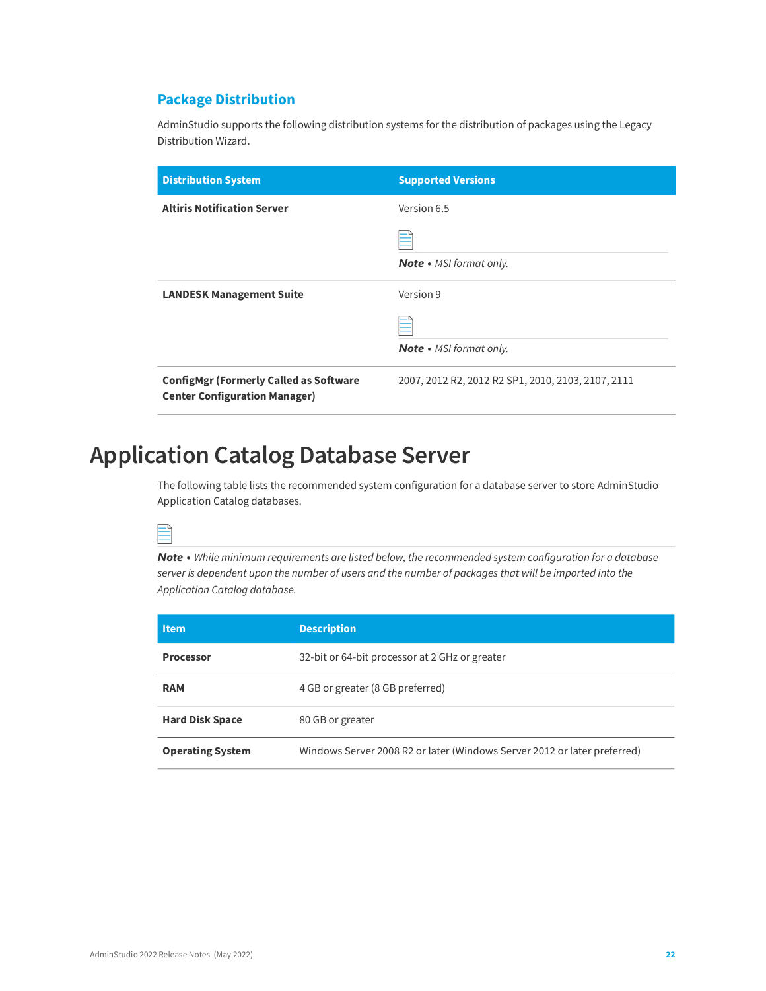### **Package Distribution**

AdminStudio supports the following distribution systems for the distribution of packages using the Legacy Distribution Wizard.

| <b>Distribution System</b>                                                            | <b>Supported Versions</b>                          |
|---------------------------------------------------------------------------------------|----------------------------------------------------|
| <b>Altiris Notification Server</b>                                                    | Version 6.5                                        |
|                                                                                       | <b>Note</b> • MSI format only.                     |
| <b>LANDESK Management Suite</b>                                                       | Version 9                                          |
|                                                                                       | <b>Note</b> • MSI format only.                     |
| <b>ConfigMgr (Formerly Called as Software</b><br><b>Center Configuration Manager)</b> | 2007, 2012 R2, 2012 R2 SP1, 2010, 2103, 2107, 2111 |

# <span id="page-21-0"></span>**Application Catalog Database Server**

The following table lists the recommended system configuration for a database server to store AdminStudio Application Catalog databases.



*Note • While minimum requirements are listed below, the recommended system configuration for a database server is dependent upon the number of users and the number of packages that will be imported into the Application Catalog database.*

| ltem                    | <b>Description</b>                                                       |
|-------------------------|--------------------------------------------------------------------------|
| <b>Processor</b>        | 32-bit or 64-bit processor at 2 GHz or greater                           |
| <b>RAM</b>              | 4 GB or greater (8 GB preferred)                                         |
| <b>Hard Disk Space</b>  | 80 GB or greater                                                         |
| <b>Operating System</b> | Windows Server 2008 R2 or later (Windows Server 2012 or later preferred) |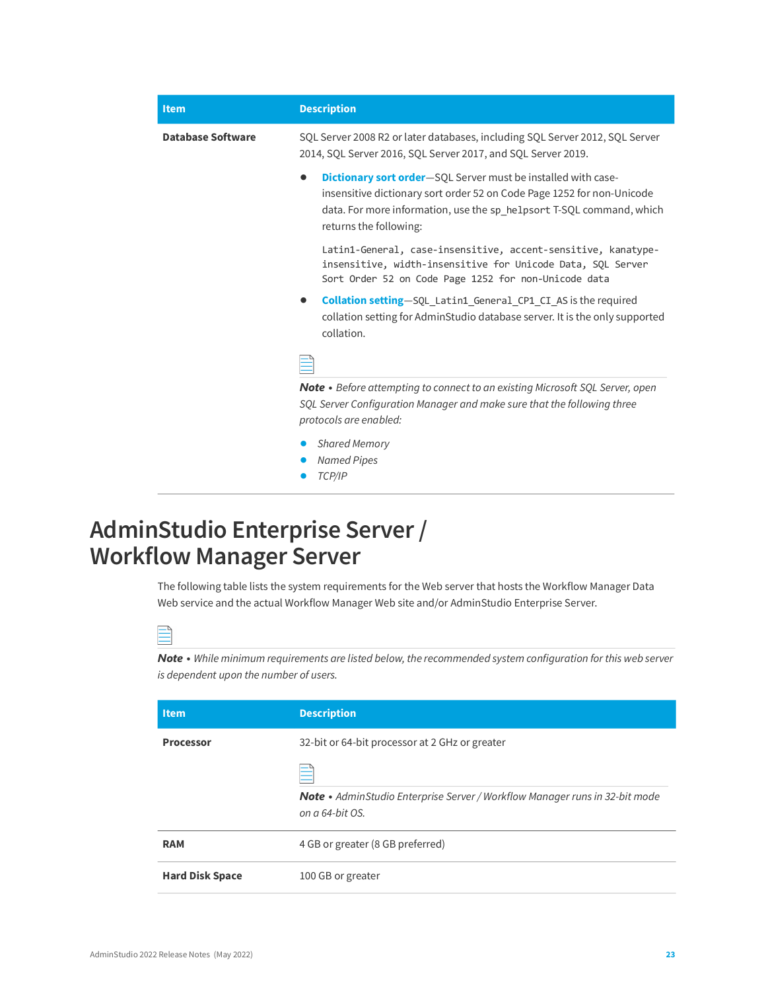| <b>Description</b>                                                                                                                                                                                                                                             |
|----------------------------------------------------------------------------------------------------------------------------------------------------------------------------------------------------------------------------------------------------------------|
| SQL Server 2008 R2 or later databases, including SQL Server 2012, SQL Server<br>2014, SQL Server 2016, SQL Server 2017, and SQL Server 2019.                                                                                                                   |
| <b>Dictionary sort order</b> —SQL Server must be installed with case-<br>$\bullet$<br>insensitive dictionary sort order 52 on Code Page 1252 for non-Unicode<br>data. For more information, use the sp helpsort T-SQL command, which<br>returns the following: |
| Latin1-General, case-insensitive, accent-sensitive, kanatype-<br>insensitive, width-insensitive for Unicode Data, SOL Server<br>Sort Order 52 on Code Page 1252 for non-Unicode data                                                                           |
| <b>Collation setting</b> —SQL Latin1 General CP1 CI AS is the required<br>collation setting for AdminStudio database server. It is the only supported<br>collation.                                                                                            |
|                                                                                                                                                                                                                                                                |
| <b>Note</b> • Before attempting to connect to an existing Microsoft SQL Server, open<br>SQL Server Configuration Manager and make sure that the following three<br>protocols are enabled:                                                                      |
| <b>Shared Memory</b><br><b>Named Pipes</b><br>TCP/IP                                                                                                                                                                                                           |
|                                                                                                                                                                                                                                                                |

# <span id="page-22-0"></span>**AdminStudio Enterprise Server / Workflow Manager Server**

The following table lists the system requirements for the Web server that hosts the Workflow Manager Data Web service and the actual Workflow Manager Web site and/or AdminStudio Enterprise Server.

*Note • While minimum requirements are listed below, the recommended system configuration for this web server is dependent upon the number of users.*

| <b>Item</b>            | <b>Description</b>                                                                                    |
|------------------------|-------------------------------------------------------------------------------------------------------|
| <b>Processor</b>       | 32-bit or 64-bit processor at 2 GHz or greater                                                        |
|                        | <b>Note</b> • AdminStudio Enterprise Server / Workflow Manager runs in 32-bit mode<br>on a 64-bit OS. |
| <b>RAM</b>             | 4 GB or greater (8 GB preferred)                                                                      |
| <b>Hard Disk Space</b> | 100 GB or greater                                                                                     |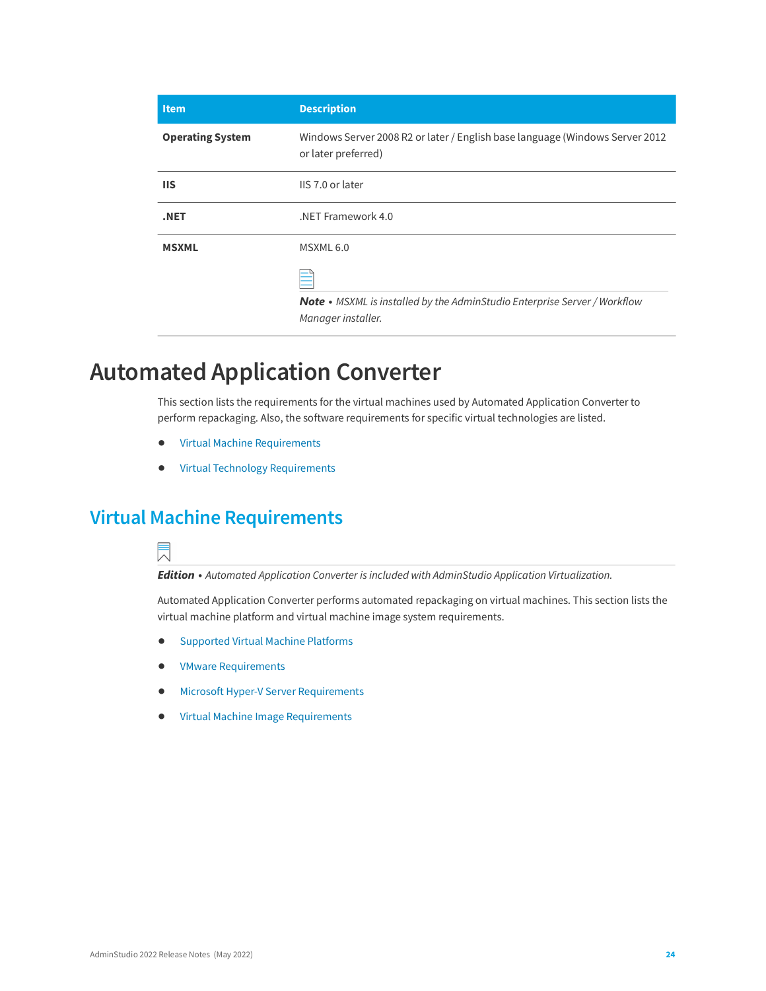| <b>Description</b>                                                                                  |
|-----------------------------------------------------------------------------------------------------|
| Windows Server 2008 R2 or later / English base language (Windows Server 2012<br>or later preferred) |
| IIS 7.0 or later                                                                                    |
| .NET Framework 4.0                                                                                  |
| MSXML <sub>6.0</sub>                                                                                |
| Note • MSXML is installed by the AdminStudio Enterprise Server / Workflow<br>Manager installer.     |
|                                                                                                     |

### <span id="page-23-0"></span>**Automated Application Converter**

This section lists the requirements for the virtual machines used by Automated Application Converter to perform repackaging. Also, the software requirements for specific virtual technologies are listed.

- **•** [Virtual Machine Requirements](#page-23-1)
- **•** [Virtual Technology Requirements](#page-27-0)

### <span id="page-23-1"></span>**Virtual Machine Requirements**



*Edition • Automated Application Converter is included with AdminStudio Application Virtualization.*

Automated Application Converter performs automated repackaging on virtual machines. This section lists the virtual machine platform and virtual machine image system requirements.

- **•** [Supported Virtual Machine Platforms](#page-24-0)
- **•** [VMware Requirements](#page-24-1)
- **•** [Microsoft Hyper-V Server Requirements](#page-26-0)
- **•** [Virtual Machine Image Requirements](#page-26-1)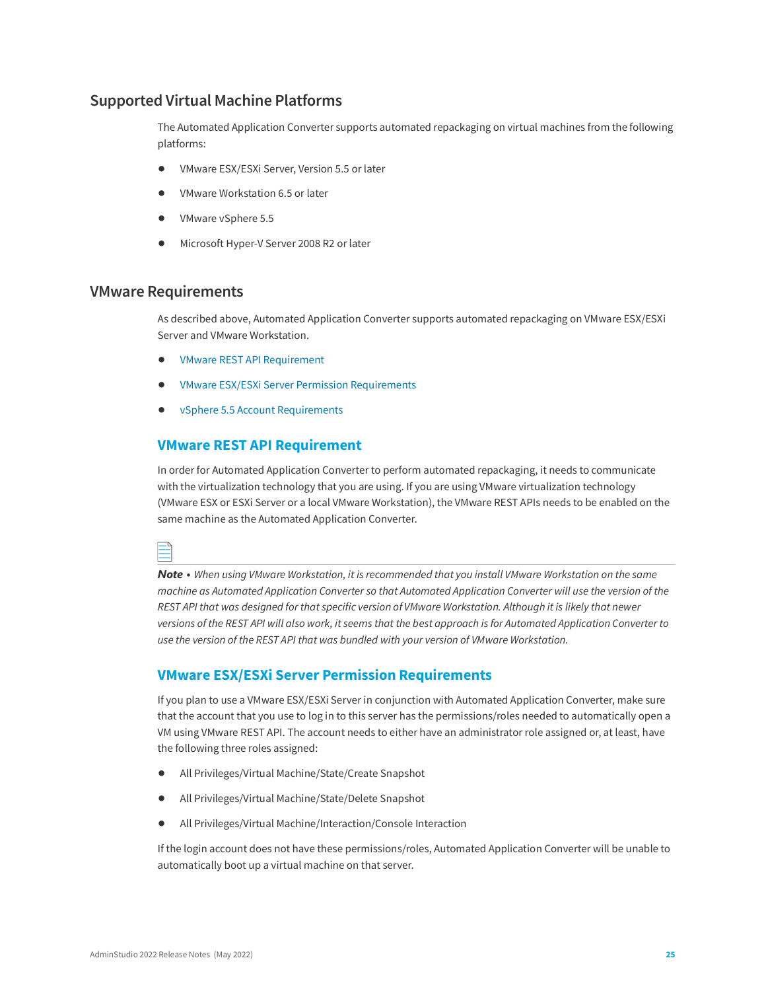### <span id="page-24-0"></span>**Supported Virtual Machine Platforms**

The Automated Application Converter supports automated repackaging on virtual machines from the following platforms:

- **•** VMware ESX/ESXi Server, Version 5.5 or later
- **•** VMware Workstation 6.5 or later
- **•** VMware vSphere 5.5
- **•** Microsoft Hyper-V Server 2008 R2 or later

#### <span id="page-24-1"></span>**VMware Requirements**

As described above, Automated Application Converter supports automated repackaging on VMware ESX/ESXi Server and VMware Workstation.

- **•** VMware REST API Requirement
- **•** VMware ESX/ESXi Server Permission Requirements
- **•** vSphere 5.5 Account Requirements

#### **VMware REST API Requirement**

In order for Automated Application Converter to perform automated repackaging, it needs to communicate with the virtualization technology that you are using. If you are using VMware virtualization technology (VMware ESX or ESXi Server or a local VMware Workstation), the VMware REST APIs needs to be enabled on the same machine as the Automated Application Converter.

| ł |  |
|---|--|
|   |  |
|   |  |
|   |  |

*Note • When using VMware Workstation, it is recommended that you install VMware Workstation on the same machine as Automated Application Converter so that Automated Application Converter will use the version of the REST API that was designed for that specific version of VMware Workstation. Although it is likely that newer versions of the REST API will also work, it seems that the best approach is for Automated Application Converter to use the version of the REST API that was bundled with your version of VMware Workstation.*

#### **VMware ESX/ESXi Server Permission Requirements**

If you plan to use a VMware ESX/ESXi Server in conjunction with Automated Application Converter, make sure that the account that you use to log in to this server has the permissions/roles needed to automatically open a VM using VMware REST API. The account needs to either have an administrator role assigned or, at least, have the following three roles assigned:

- **•** All Privileges/Virtual Machine/State/Create Snapshot
- **•** All Privileges/Virtual Machine/State/Delete Snapshot
- **•** All Privileges/Virtual Machine/Interaction/Console Interaction

If the login account does not have these permissions/roles, Automated Application Converter will be unable to automatically boot up a virtual machine on that server.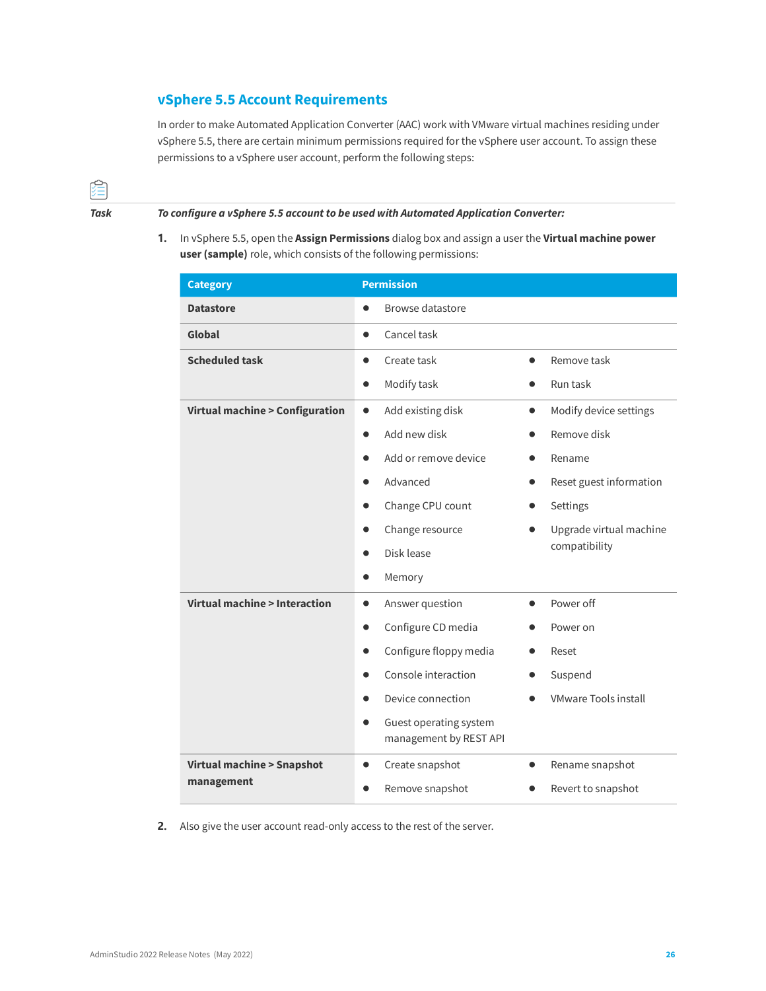### **vSphere 5.5 Account Requirements**

In order to make Automated Application Converter (AAC) work with VMware virtual machines residing under vSphere 5.5, there are certain minimum permissions required for the vSphere user account. To assign these permissions to a vSphere user account, perform the following steps:



*Task To configure a vSphere 5.5 account to be used with Automated Application Converter:*

**1.** In vSphere 5.5, open the **Assign Permissions** dialog box and assign a user the **Virtual machine power user (sample)** role, which consists of the following permissions:

| <b>Category</b>                           | <b>Permission</b>                                |                                     |
|-------------------------------------------|--------------------------------------------------|-------------------------------------|
| <b>Datastore</b>                          | Browse datastore<br>$\bullet$                    |                                     |
| Global                                    | Cancel task<br>$\bullet$                         |                                     |
| <b>Scheduled task</b>                     | Create task<br>$\bullet$                         | Remove task                         |
|                                           | Modify task<br>$\bullet$                         | Run task                            |
| <b>Virtual machine &gt; Configuration</b> | Add existing disk<br>$\bullet$                   | Modify device settings<br>$\bullet$ |
|                                           | Add new disk<br>$\bullet$                        | Remove disk                         |
|                                           | Add or remove device                             | Rename                              |
|                                           | Advanced<br>$\bullet$                            | Reset guest information             |
|                                           | Change CPU count<br>$\bullet$                    | Settings                            |
|                                           | Change resource<br>$\bullet$                     | Upgrade virtual machine             |
|                                           | Disk lease                                       | compatibility                       |
|                                           | Memory<br>$\bullet$                              |                                     |
| Virtual machine > Interaction             | Answer question<br>$\bullet$                     | Power off                           |
|                                           | Configure CD media<br>$\bullet$                  | Power on                            |
|                                           | Configure floppy media                           | Reset                               |
|                                           | Console interaction                              | Suspend                             |
|                                           | Device connection                                | <b>VMware Tools install</b>         |
|                                           | Guest operating system<br>management by REST API |                                     |
| <b>Virtual machine &gt; Snapshot</b>      | Create snapshot<br>$\bullet$                     | Rename snapshot                     |
| management                                | Remove snapshot<br>●                             | Revert to snapshot                  |

**2.** Also give the user account read-only access to the rest of the server.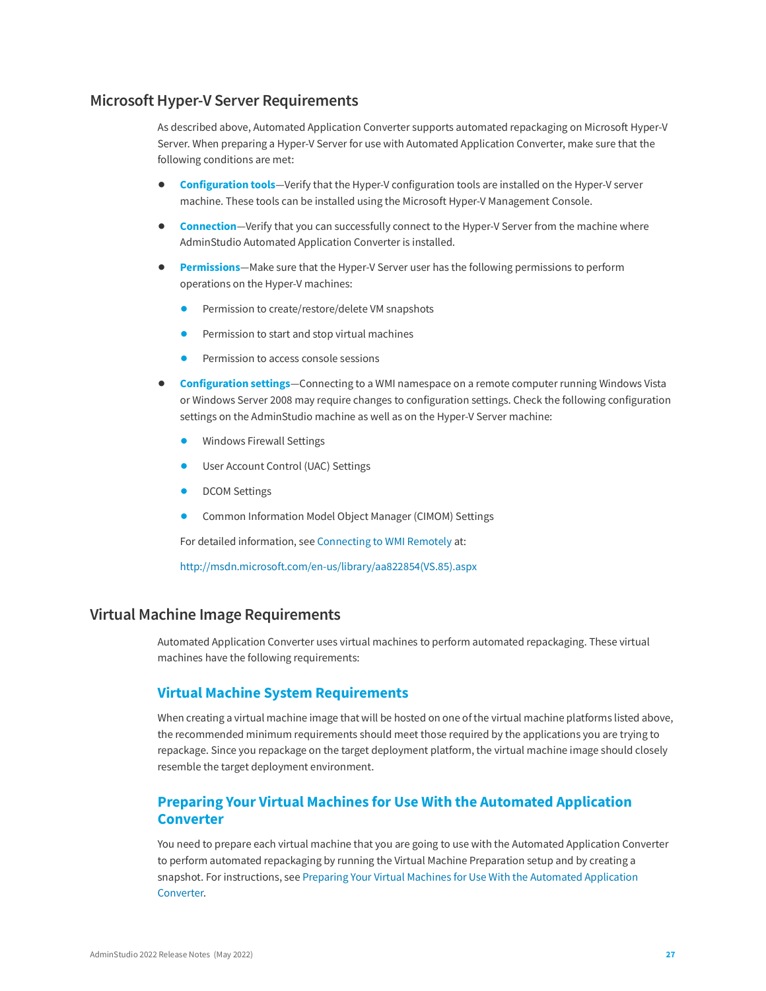#### <span id="page-26-0"></span>**Microsoft Hyper-V Server Requirements**

As described above, Automated Application Converter supports automated repackaging on Microsoft Hyper-V Server. When preparing a Hyper-V Server for use with Automated Application Converter, make sure that the following conditions are met:

- **• Configuration tools**—Verify that the Hyper-V configuration tools are installed on the Hyper-V server machine. These tools can be installed using the Microsoft Hyper-V Management Console.
- **• Connection**—Verify that you can successfully connect to the Hyper-V Server from the machine where AdminStudio Automated Application Converter is installed.
- **• Permissions**—Make sure that the Hyper-V Server user has the following permissions to perform operations on the Hyper-V machines:
	- **•** Permission to create/restore/delete VM snapshots
	- **•** Permission to start and stop virtual machines
	- **•** Permission to access console sessions
- **• Configuration settings**—Connecting to a WMI namespace on a remote computer running Windows Vista or Windows Server 2008 may require changes to configuration settings. Check the following configuration settings on the AdminStudio machine as well as on the Hyper-V Server machine:
	- **•** Windows Firewall Settings
	- **•** User Account Control (UAC) Settings
	- **•** DCOM Settings
	- **•** Common Information Model Object Manager (CIMOM) Settings

For detailed information, see [Connecting to WMI Remotely](http://msdn.microsoft.com/en-us/library/aa822854(VS.85).aspx) at:

[http://msdn.microsoft.com/en-us/library/aa822854\(VS.85\).aspx](http://msdn.microsoft.com/en-us/library/aa822854(VS.85).aspx)

#### <span id="page-26-1"></span>**Virtual Machine Image Requirements**

Automated Application Converter uses virtual machines to perform automated repackaging. These virtual machines have the following requirements:

#### **Virtual Machine System Requirements**

When creating a virtual machine image that will be hosted on one of the virtual machine platforms listed above, the recommended minimum requirements should meet those required by the applications you are trying to repackage. Since you repackage on the target deployment platform, the virtual machine image should closely resemble the target deployment environment.

#### **Preparing Your Virtual Machines for Use With the Automated Application Converter**

You need to prepare each virtual machine that you are going to use with the Automated Application Converter to perform automated repackaging by running the Virtual Machine Preparation setup and by creating a snapshot. For instructions, see [Preparing Your Virtual Machines for Use With the Automated Application](http://helpnet.flexerasoftware.com/adminstudio2016sp2/adminstudio_CSH.htm#ashelplibrary/Vam_PrepareVirtualMachines.htm)  [Converter.](http://helpnet.flexerasoftware.com/adminstudio2016sp2/adminstudio_CSH.htm#ashelplibrary/Vam_PrepareVirtualMachines.htm)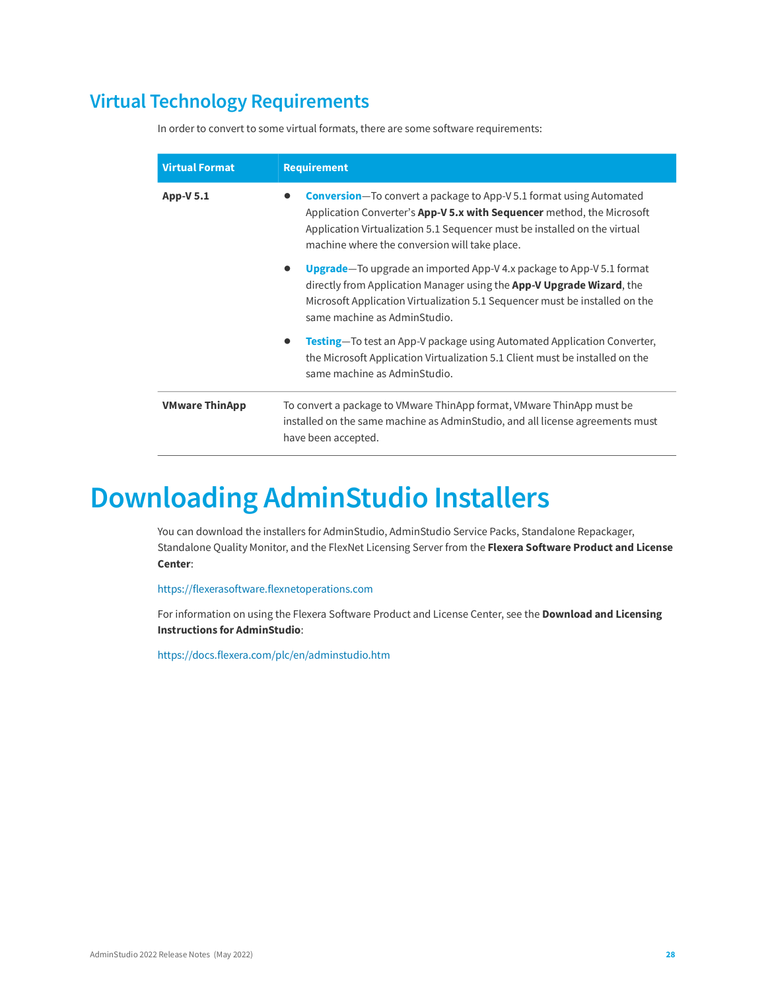### <span id="page-27-0"></span>**Virtual Technology Requirements**

In order to convert to some virtual formats, there are some software requirements:

| <b>Virtual Format</b> | <b>Requirement</b>                                                                                                                                                                                                                                                                  |
|-----------------------|-------------------------------------------------------------------------------------------------------------------------------------------------------------------------------------------------------------------------------------------------------------------------------------|
| <b>App-V 5.1</b>      | <b>Conversion</b> -To convert a package to App-V 5.1 format using Automated<br>Application Converter's App-V 5.x with Sequencer method, the Microsoft<br>Application Virtualization 5.1 Sequencer must be installed on the virtual<br>machine where the conversion will take place. |
|                       | <b>Upgrade</b> —To upgrade an imported App-V 4.x package to App-V 5.1 format<br>directly from Application Manager using the <b>App-V Upgrade Wizard</b> , the<br>Microsoft Application Virtualization 5.1 Sequencer must be installed on the<br>same machine as AdminStudio.        |
|                       | <b>Testing</b> —To test an App-V package using Automated Application Converter,<br>the Microsoft Application Virtualization 5.1 Client must be installed on the<br>same machine as AdminStudio.                                                                                     |
| <b>VMware ThinApp</b> | To convert a package to VMware ThinApp format, VMware ThinApp must be<br>installed on the same machine as AdminStudio, and all license agreements must<br>have been accepted.                                                                                                       |

# <span id="page-27-1"></span>**Downloading AdminStudio Installers**

You can download the installers for AdminStudio, AdminStudio Service Packs, Standalone Repackager, Standalone Quality Monitor, and the FlexNet Licensing Server from the **Flexera Software Product and License Center**:

<https://flexerasoftware.flexnetoperations.com>

For information on using the Flexera Software Product and License Center, see the **Download and Licensing Instructions for AdminStudio**:

<https://docs.flexera.com/plc/en/adminstudio.htm>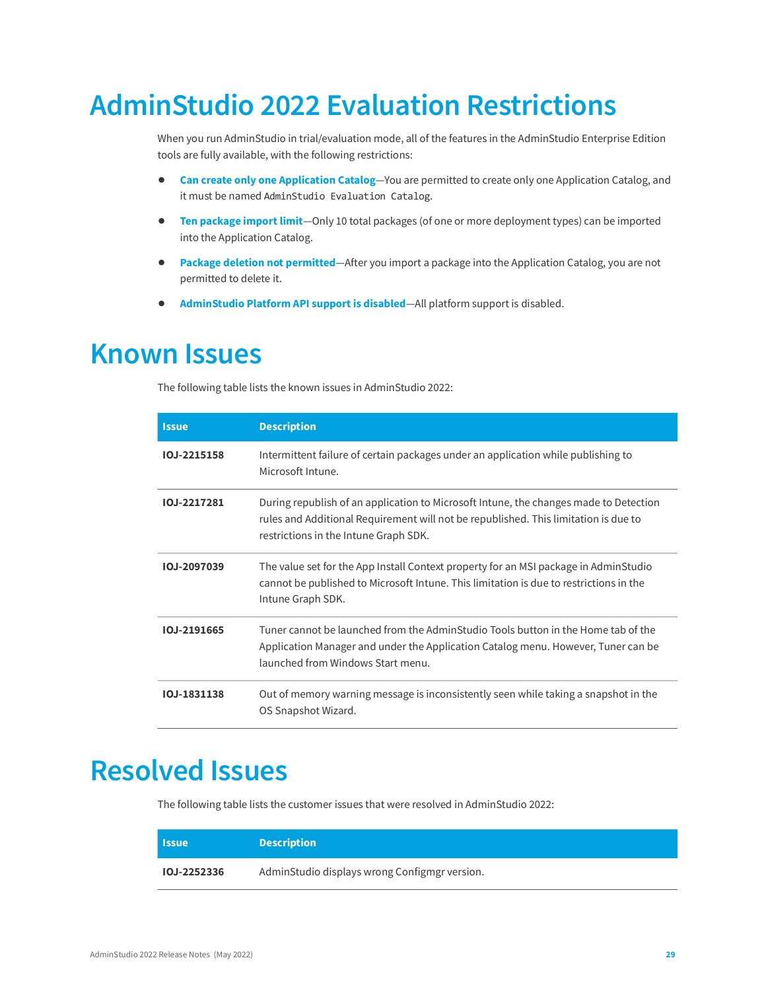# <span id="page-28-0"></span>**AdminStudio 2022 Evaluation Restrictions**

When you run AdminStudio in trial/evaluation mode, all of the features in the AdminStudio Enterprise Edition tools are fully available, with the following restrictions:

- **• Can create only one Application Catalog**—You are permitted to create only one Application Catalog, and it must be named AdminStudio Evaluation Catalog.
- **• Ten package import limit**—Only 10 total packages (of one or more deployment types) can be imported into the Application Catalog.
- **• Package deletion not permitted**—After you import a package into the Application Catalog, you are not permitted to delete it.
- **• AdminStudio Platform API support is disabled**—All platform support is disabled.

# <span id="page-28-1"></span>**Known Issues**

The following table lists the known issues in AdminStudio 2022:

| <b>Issue</b>       | <b>Description</b>                                                                                                                                                                                                    |
|--------------------|-----------------------------------------------------------------------------------------------------------------------------------------------------------------------------------------------------------------------|
| <b>IOJ-2215158</b> | Intermittent failure of certain packages under an application while publishing to<br>Microsoft Intune.                                                                                                                |
| 10.1-2217281       | During republish of an application to Microsoft Intune, the changes made to Detection<br>rules and Additional Requirement will not be republished. This limitation is due to<br>restrictions in the Intune Graph SDK. |
| IOJ-2097039        | The value set for the App Install Context property for an MSI package in AdminStudio<br>cannot be published to Microsoft Intune. This limitation is due to restrictions in the<br>Intune Graph SDK.                   |
| IOJ-2191665        | Tuner cannot be launched from the AdminStudio Tools button in the Home tab of the<br>Application Manager and under the Application Catalog menu. However, Tuner can be<br>launched from Windows Start menu.           |
| 10J-1831138        | Out of memory warning message is inconsistently seen while taking a snapshot in the<br>OS Snapshot Wizard.                                                                                                            |

# <span id="page-28-2"></span>**Resolved Issues**

The following table lists the customer issues that were resolved in AdminStudio 2022:

| <b>Issue</b>       | <b>Description</b>                            |
|--------------------|-----------------------------------------------|
| <b>IOJ-2252336</b> | AdminStudio displays wrong Configmgr version. |